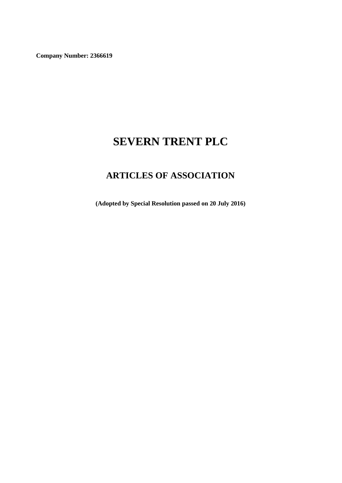**Company Number: 2366619**

# **SEVERN TRENT PLC**

# **ARTICLES OF ASSOCIATION**

**(Adopted by Special Resolution passed on 20 July 2016)**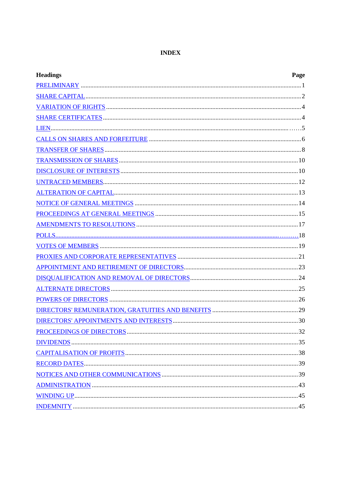# **INDEX**

| <b>Headings</b><br>Page |  |
|-------------------------|--|
|                         |  |
|                         |  |
|                         |  |
|                         |  |
|                         |  |
|                         |  |
|                         |  |
|                         |  |
|                         |  |
|                         |  |
|                         |  |
|                         |  |
|                         |  |
|                         |  |
|                         |  |
|                         |  |
|                         |  |
|                         |  |
|                         |  |
|                         |  |
|                         |  |
|                         |  |
|                         |  |
|                         |  |
|                         |  |
|                         |  |
|                         |  |
|                         |  |
|                         |  |
|                         |  |
|                         |  |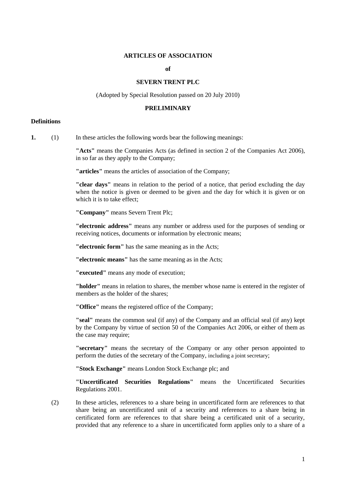#### **ARTICLES OF ASSOCIATION**

#### **of**

#### **SEVERN TRENT PLC**

(Adopted by Special Resolution passed on 20 July 2010)

#### **PRELIMINARY**

#### **Definitions**

**1.** (1) In these articles the following words bear the following meanings:

**"Acts"** means the Companies Acts (as defined in section 2 of the Companies Act 2006), in so far as they apply to the Company;

**"articles"** means the articles of association of the Company;

**"clear days"** means in relation to the period of a notice, that period excluding the day when the notice is given or deemed to be given and the day for which it is given or on which it is to take effect;

**"Company"** means Severn Trent Plc;

**"electronic address"** means any number or address used for the purposes of sending or receiving notices, documents or information by electronic means;

**"electronic form"** has the same meaning as in the Acts;

**"electronic means"** has the same meaning as in the Acts;

**"executed"** means any mode of execution;

**"holder"** means in relation to shares, the member whose name is entered in the register of members as the holder of the shares;

**"Office"** means the registered office of the Company;

**"seal"** means the common seal (if any) of the Company and an official seal (if any) kept by the Company by virtue of section 50 of the Companies Act 2006, or either of them as the case may require;

**"secretary"** means the secretary of the Company or any other person appointed to perform the duties of the secretary of the Company, including a joint secretary;

**"Stock Exchange"** means London Stock Exchange plc; and

**"Uncertificated Securities Regulations"** means the Uncertificated Securities Regulations 2001.

(2) In these articles, references to a share being in uncertificated form are references to that share being an uncertificated unit of a security and references to a share being in certificated form are references to that share being a certificated unit of a security, provided that any reference to a share in uncertificated form applies only to a share of a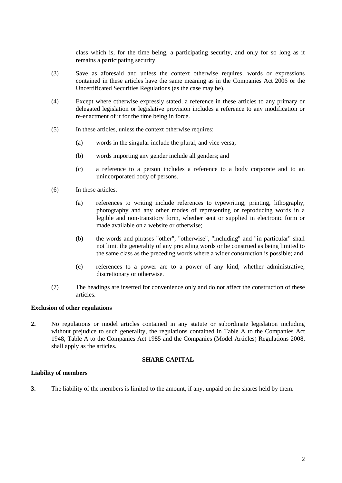class which is, for the time being, a participating security, and only for so long as it remains a participating security.

- (3) Save as aforesaid and unless the context otherwise requires, words or expressions contained in these articles have the same meaning as in the Companies Act 2006 or the Uncertificated Securities Regulations (as the case may be).
- (4) Except where otherwise expressly stated, a reference in these articles to any primary or delegated legislation or legislative provision includes a reference to any modification or re-enactment of it for the time being in force.
- (5) In these articles, unless the context otherwise requires:
	- (a) words in the singular include the plural, and vice versa;
	- (b) words importing any gender include all genders; and
	- (c) a reference to a person includes a reference to a body corporate and to an unincorporated body of persons.
- (6) In these articles:
	- (a) references to writing include references to typewriting, printing, lithography, photography and any other modes of representing or reproducing words in a legible and non-transitory form, whether sent or supplied in electronic form or made available on a website or otherwise;
	- (b) the words and phrases "other", "otherwise", "including" and "in particular" shall not limit the generality of any preceding words or be construed as being limited to the same class as the preceding words where a wider construction is possible; and
	- (c) references to a power are to a power of any kind, whether administrative, discretionary or otherwise.
- (7) The headings are inserted for convenience only and do not affect the construction of these articles.

#### **Exclusion of other regulations**

**2.** No regulations or model articles contained in any statute or subordinate legislation including without prejudice to such generality, the regulations contained in Table A to the Companies Act 1948, Table A to the Companies Act 1985 and the Companies (Model Articles) Regulations 2008, shall apply as the articles.

#### **SHARE CAPITAL**

#### **Liability of members**

**3.** The liability of the members is limited to the amount, if any, unpaid on the shares held by them.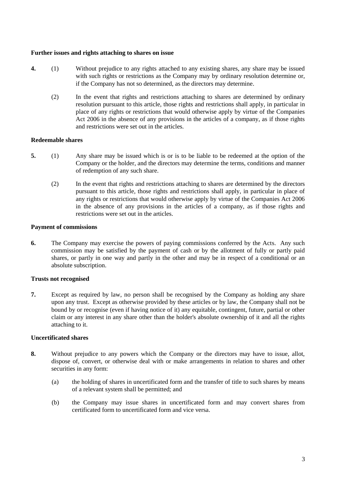#### **Further issues and rights attaching to shares on issue**

- **4.** (1) Without prejudice to any rights attached to any existing shares, any share may be issued with such rights or restrictions as the Company may by ordinary resolution determine or, if the Company has not so determined, as the directors may determine.
	- (2) In the event that rights and restrictions attaching to shares are determined by ordinary resolution pursuant to this article, those rights and restrictions shall apply, in particular in place of any rights or restrictions that would otherwise apply by virtue of the Companies Act 2006 in the absence of any provisions in the articles of a company, as if those rights and restrictions were set out in the articles.

# **Redeemable shares**

- **5.** (1) Any share may be issued which is or is to be liable to be redeemed at the option of the Company or the holder, and the directors may determine the terms, conditions and manner of redemption of any such share.
	- (2) In the event that rights and restrictions attaching to shares are determined by the directors pursuant to this article, those rights and restrictions shall apply, in particular in place of any rights or restrictions that would otherwise apply by virtue of the Companies Act 2006 in the absence of any provisions in the articles of a company, as if those rights and restrictions were set out in the articles.

# **Payment of commissions**

**6.** The Company may exercise the powers of paying commissions conferred by the Acts. Any such commission may be satisfied by the payment of cash or by the allotment of fully or partly paid shares, or partly in one way and partly in the other and may be in respect of a conditional or an absolute subscription.

# **Trusts not recognised**

**7.** Except as required by law, no person shall be recognised by the Company as holding any share upon any trust. Except as otherwise provided by these articles or by law, the Company shall not be bound by or recognise (even if having notice of it) any equitable, contingent, future, partial or other claim or any interest in any share other than the holder's absolute ownership of it and all the rights attaching to it.

# **Uncertificated shares**

- <span id="page-4-0"></span>**8.** Without prejudice to any powers which the Company or the directors may have to issue, allot, dispose of, convert, or otherwise deal with or make arrangements in relation to shares and other securities in any form:
	- (a) the holding of shares in uncertificated form and the transfer of title to such shares by means of a relevant system shall be permitted; and
	- (b) the Company may issue shares in uncertificated form and may convert shares from certificated form to uncertificated form and vice versa.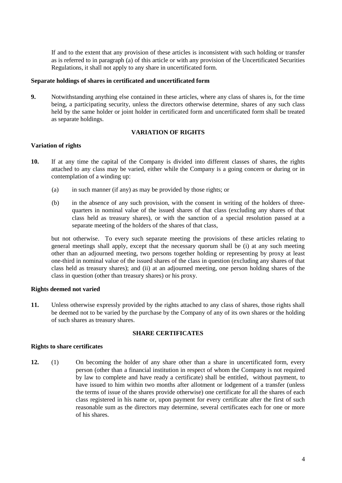If and to the extent that any provision of these articles is inconsistent with such holding or transfer as is referred to in paragraph [\(a\)](#page-4-0) of this article or with any provision of the Uncertificated Securities Regulations, it shall not apply to any share in uncertificated form.

#### **Separate holdings of shares in certificated and uncertificated form**

**9.** Notwithstanding anything else contained in these articles, where any class of shares is, for the time being, a participating security, unless the directors otherwise determine, shares of any such class held by the same holder or joint holder in certificated form and uncertificated form shall be treated as separate holdings.

# **VARIATION OF RIGHTS**

#### **Variation of rights**

- **10.** If at any time the capital of the Company is divided into different classes of shares, the rights attached to any class may be varied, either while the Company is a going concern or during or in contemplation of a winding up:
	- (a) in such manner (if any) as may be provided by those rights; or
	- (b) in the absence of any such provision, with the consent in writing of the holders of threequarters in nominal value of the issued shares of that class (excluding any shares of that class held as treasury shares), or with the sanction of a special resolution passed at a separate meeting of the holders of the shares of that class,

but not otherwise. To every such separate meeting the provisions of these articles relating to general meetings shall apply, except that the necessary quorum shall be (i) at any such meeting other than an adjourned meeting, two persons together holding or representing by proxy at least one-third in nominal value of the issued shares of the class in question (excluding any shares of that class held as treasury shares); and (ii) at an adjourned meeting, one person holding shares of the class in question (other than treasury shares) or his proxy.

#### **Rights deemed not varied**

**11.** Unless otherwise expressly provided by the rights attached to any class of shares, those rights shall be deemed not to be varied by the purchase by the Company of any of its own shares or the holding of such shares as treasury shares.

# **SHARE CERTIFICATES**

#### **Rights to share certificates**

**12.** (1) On becoming the holder of any share other than a share in uncertificated form, every person (other than a financial institution in respect of whom the Company is not required by law to complete and have ready a certificate) shall be entitled, without payment, to have issued to him within two months after allotment or lodgement of a transfer (unless the terms of issue of the shares provide otherwise) one certificate for all the shares of each class registered in his name or, upon payment for every certificate after the first of such reasonable sum as the directors may determine, several certificates each for one or more of his shares.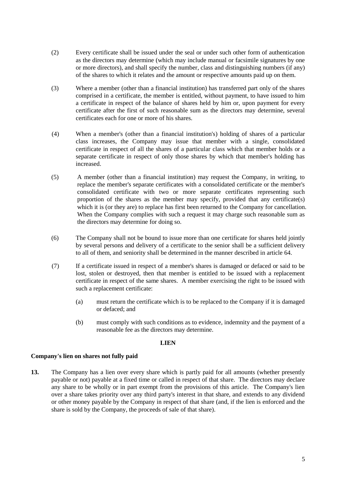- (2) Every certificate shall be issued under the seal or under such other form of authentication as the directors may determine (which may include manual or facsimile signatures by one or more directors), and shall specify the number, class and distinguishing numbers (if any) of the shares to which it relates and the amount or respective amounts paid up on them.
- (3) Where a member (other than a financial institution) has transferred part only of the shares comprised in a certificate, the member is entitled, without payment, to have issued to him a certificate in respect of the balance of shares held by him or, upon payment for every certificate after the first of such reasonable sum as the directors may determine, several certificates each for one or more of his shares.
- (4) When a member's (other than a financial institution's) holding of shares of a particular class increases, the Company may issue that member with a single, consolidated certificate in respect of all the shares of a particular class which that member holds or a separate certificate in respect of only those shares by which that member's holding has increased.
- (5) A member (other than a financial institution) may request the Company, in writing, to replace the member's separate certificates with a consolidated certificate or the member's consolidated certificate with two or more separate certificates representing such proportion of the shares as the member may specify, provided that any certificate(s) which it is (or they are) to replace has first been returned to the Company for cancellation. When the Company complies with such a request it may charge such reasonable sum as the directors may determine for doing so.
- (6) The Company shall not be bound to issue more than one certificate for shares held jointly by several persons and delivery of a certificate to the senior shall be a sufficient delivery to all of them, and seniority shall be determined in the manner described in article [64.](#page-21-0)
- (7) If a certificate issued in respect of a member's shares is damaged or defaced or said to be lost, stolen or destroyed, then that member is entitled to be issued with a replacement certificate in respect of the same shares. A member exercising the right to be issued with such a replacement certificate:
	- (a) must return the certificate which is to be replaced to the Company if it is damaged or defaced; and
	- (b) must comply with such conditions as to evidence, indemnity and the payment of a reasonable fee as the directors may determine.

# **LIEN**

#### **Company's lien on shares not fully paid**

**13.** The Company has a lien over every share which is partly paid for all amounts (whether presently payable or not) payable at a fixed time or called in respect of that share. The directors may declare any share to be wholly or in part exempt from the provisions of this article. The Company's lien over a share takes priority over any third party's interest in that share, and extends to any dividend or other money payable by the Company in respect of that share (and, if the lien is enforced and the share is sold by the Company, the proceeds of sale of that share).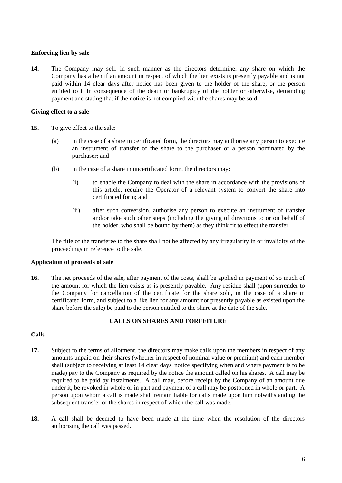# **Enforcing lien by sale**

**14.** The Company may sell, in such manner as the directors determine, any share on which the Company has a lien if an amount in respect of which the lien exists is presently payable and is not paid within 14 clear days after notice has been given to the holder of the share, or the person entitled to it in consequence of the death or bankruptcy of the holder or otherwise, demanding payment and stating that if the notice is not complied with the shares may be sold.

## **Giving effect to a sale**

- **15.** To give effect to the sale:
	- (a) in the case of a share in certificated form, the directors may authorise any person to execute an instrument of transfer of the share to the purchaser or a person nominated by the purchaser; and
	- (b) in the case of a share in uncertificated form, the directors may:
		- (i) to enable the Company to deal with the share in accordance with the provisions of this article, require the Operator of a relevant system to convert the share into certificated form; and
		- (ii) after such conversion, authorise any person to execute an instrument of transfer and/or take such other steps (including the giving of directions to or on behalf of the holder, who shall be bound by them) as they think fit to effect the transfer.

The title of the transferee to the share shall not be affected by any irregularity in or invalidity of the proceedings in reference to the sale.

#### **Application of proceeds of sale**

**16.** The net proceeds of the sale, after payment of the costs, shall be applied in payment of so much of the amount for which the lien exists as is presently payable. Any residue shall (upon surrender to the Company for cancellation of the certificate for the share sold, in the case of a share in certificated form, and subject to a like lien for any amount not presently payable as existed upon the share before the sale) be paid to the person entitled to the share at the date of the sale.

# **CALLS ON SHARES AND FORFEITURE**

# **Calls**

- **17.** Subject to the terms of allotment, the directors may make calls upon the members in respect of any amounts unpaid on their shares (whether in respect of nominal value or premium) and each member shall (subject to receiving at least 14 clear days' notice specifying when and where payment is to be made) pay to the Company as required by the notice the amount called on his shares. A call may be required to be paid by instalments. A call may, before receipt by the Company of an amount due under it, be revoked in whole or in part and payment of a call may be postponed in whole or part. A person upon whom a call is made shall remain liable for calls made upon him notwithstanding the subsequent transfer of the shares in respect of which the call was made.
- **18.** A call shall be deemed to have been made at the time when the resolution of the directors authorising the call was passed.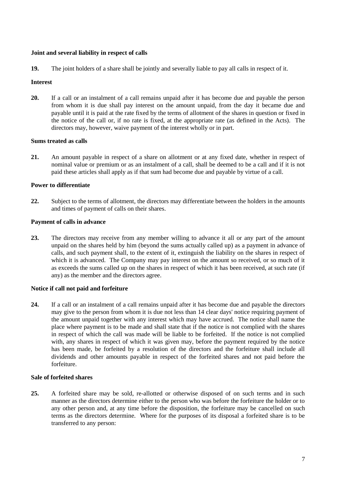## **Joint and several liability in respect of calls**

**19.** The joint holders of a share shall be jointly and severally liable to pay all calls in respect of it.

## **Interest**

**20.** If a call or an instalment of a call remains unpaid after it has become due and payable the person from whom it is due shall pay interest on the amount unpaid, from the day it became due and payable until it is paid at the rate fixed by the terms of allotment of the shares in question or fixed in the notice of the call or, if no rate is fixed, at the appropriate rate (as defined in the Acts). The directors may, however, waive payment of the interest wholly or in part.

#### **Sums treated as calls**

**21.** An amount payable in respect of a share on allotment or at any fixed date, whether in respect of nominal value or premium or as an instalment of a call, shall be deemed to be a call and if it is not paid these articles shall apply as if that sum had become due and payable by virtue of a call.

# **Power to differentiate**

**22.** Subject to the terms of allotment, the directors may differentiate between the holders in the amounts and times of payment of calls on their shares.

# **Payment of calls in advance**

**23.** The directors may receive from any member willing to advance it all or any part of the amount unpaid on the shares held by him (beyond the sums actually called up) as a payment in advance of calls, and such payment shall, to the extent of it, extinguish the liability on the shares in respect of which it is advanced. The Company may pay interest on the amount so received, or so much of it as exceeds the sums called up on the shares in respect of which it has been received, at such rate (if any) as the member and the directors agree.

# **Notice if call not paid and forfeiture**

**24.** If a call or an instalment of a call remains unpaid after it has become due and payable the directors may give to the person from whom it is due not less than 14 clear days' notice requiring payment of the amount unpaid together with any interest which may have accrued. The notice shall name the place where payment is to be made and shall state that if the notice is not complied with the shares in respect of which the call was made will be liable to be forfeited. If the notice is not complied with, any shares in respect of which it was given may, before the payment required by the notice has been made, be forfeited by a resolution of the directors and the forfeiture shall include all dividends and other amounts payable in respect of the forfeited shares and not paid before the forfeiture.

#### **Sale of forfeited shares**

**25.** A forfeited share may be sold, re-allotted or otherwise disposed of on such terms and in such manner as the directors determine either to the person who was before the forfeiture the holder or to any other person and, at any time before the disposition, the forfeiture may be cancelled on such terms as the directors determine. Where for the purposes of its disposal a forfeited share is to be transferred to any person: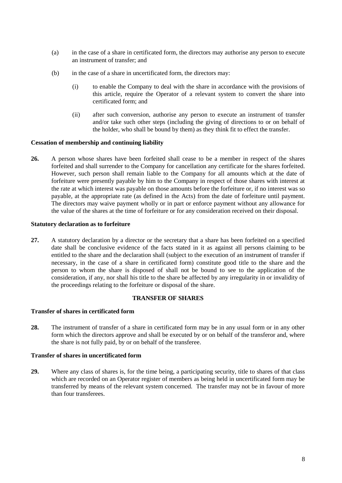- (a) in the case of a share in certificated form, the directors may authorise any person to execute an instrument of transfer; and
- (b) in the case of a share in uncertificated form, the directors may:
	- (i) to enable the Company to deal with the share in accordance with the provisions of this article, require the Operator of a relevant system to convert the share into certificated form; and
	- (ii) after such conversion, authorise any person to execute an instrument of transfer and/or take such other steps (including the giving of directions to or on behalf of the holder, who shall be bound by them) as they think fit to effect the transfer.

#### **Cessation of membership and continuing liability**

**26.** A person whose shares have been forfeited shall cease to be a member in respect of the shares forfeited and shall surrender to the Company for cancellation any certificate for the shares forfeited. However, such person shall remain liable to the Company for all amounts which at the date of forfeiture were presently payable by him to the Company in respect of those shares with interest at the rate at which interest was payable on those amounts before the forfeiture or, if no interest was so payable, at the appropriate rate (as defined in the Acts) from the date of forfeiture until payment. The directors may waive payment wholly or in part or enforce payment without any allowance for the value of the shares at the time of forfeiture or for any consideration received on their disposal.

#### **Statutory declaration as to forfeiture**

**27.** A statutory declaration by a director or the secretary that a share has been forfeited on a specified date shall be conclusive evidence of the facts stated in it as against all persons claiming to be entitled to the share and the declaration shall (subject to the execution of an instrument of transfer if necessary, in the case of a share in certificated form) constitute good title to the share and the person to whom the share is disposed of shall not be bound to see to the application of the consideration, if any, nor shall his title to the share be affected by any irregularity in or invalidity of the proceedings relating to the forfeiture or disposal of the share.

#### **TRANSFER OF SHARES**

# **Transfer of shares in certificated form**

**28.** The instrument of transfer of a share in certificated form may be in any usual form or in any other form which the directors approve and shall be executed by or on behalf of the transferor and, where the share is not fully paid, by or on behalf of the transferee.

## **Transfer of shares in uncertificated form**

**29.** Where any class of shares is, for the time being, a participating security, title to shares of that class which are recorded on an Operator register of members as being held in uncertificated form may be transferred by means of the relevant system concerned. The transfer may not be in favour of more than four transferees.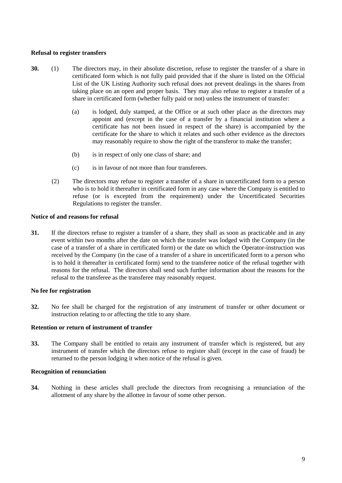# **Refusal to register transfers**

- **30.** (1) The directors may, in their absolute discretion, refuse to register the transfer of a share in certificated form which is not fully paid provided that if the share is listed on the Official List of the UK Listing Authority such refusal does not prevent dealings in the shares from taking place on an open and proper basis. They may also refuse to register a transfer of a share in certificated form (whether fully paid or not) unless the instrument of transfer:
	- (a) is lodged, duly stamped, at the Office or at such other place as the directors may appoint and (except in the case of a transfer by a financial institution where a certificate has not been issued in respect of the share) is accompanied by the certificate for the share to which it relates and such other evidence as the directors may reasonably require to show the right of the transferor to make the transfer;
	- (b) is in respect of only one class of share; and
	- (c) is in favour of not more than four transferees.
	- (2) The directors may refuse to register a transfer of a share in uncertificated form to a person who is to hold it thereafter in certificated form in any case where the Company is entitled to refuse (or is excepted from the requirement) under the Uncertificated Securities Regulations to register the transfer.

#### **Notice of and reasons for refusal**

**31.** If the directors refuse to register a transfer of a share, they shall as soon as practicable and in any event within two months after the date on which the transfer was lodged with the Company (in the case of a transfer of a share in certificated form) or the date on which the Operator-instruction was received by the Company (in the case of a transfer of a share in uncertificated form to a person who is to hold it thereafter in certificated form) send to the transferee notice of the refusal together with reasons for the refusal. The directors shall send such further information about the reasons for the refusal to the transferee as the transferee may reasonably request.

#### **No fee for registration**

**32.** No fee shall be charged for the registration of any instrument of transfer or other document or instruction relating to or affecting the title to any share.

#### **Retention or return of instrument of transfer**

**33.** The Company shall be entitled to retain any instrument of transfer which is registered, but any instrument of transfer which the directors refuse to register shall (except in the case of fraud) be returned to the person lodging it when notice of the refusal is given.

#### **Recognition of renunciation**

**34.** Nothing in these articles shall preclude the directors from recognising a renunciation of the allotment of any share by the allottee in favour of some other person.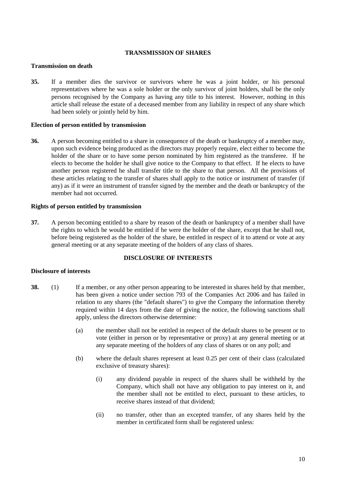## **TRANSMISSION OF SHARES**

# **Transmission on death**

**35.** If a member dies the survivor or survivors where he was a joint holder, or his personal representatives where he was a sole holder or the only survivor of joint holders, shall be the only persons recognised by the Company as having any title to his interest. However, nothing in this article shall release the estate of a deceased member from any liability in respect of any share which had been solely or jointly held by him.

## **Election of person entitled by transmission**

**36.** A person becoming entitled to a share in consequence of the death or bankruptcy of a member may, upon such evidence being produced as the directors may properly require, elect either to become the holder of the share or to have some person nominated by him registered as the transferee. If he elects to become the holder he shall give notice to the Company to that effect. If he elects to have another person registered he shall transfer title to the share to that person. All the provisions of these articles relating to the transfer of shares shall apply to the notice or instrument of transfer (if any) as if it were an instrument of transfer signed by the member and the death or bankruptcy of the member had not occurred.

# **Rights of person entitled by transmission**

**37.** A person becoming entitled to a share by reason of the death or bankruptcy of a member shall have the rights to which he would be entitled if he were the holder of the share, except that he shall not, before being registered as the holder of the share, be entitled in respect of it to attend or vote at any general meeting or at any separate meeting of the holders of any class of shares.

## **DISCLOSURE OF INTERESTS**

#### **Disclosure of interests**

- **38.** (1) If a member, or any other person appearing to be interested in shares held by that member, has been given a notice under section 793 of the Companies Act 2006 and has failed in relation to any shares (the "default shares") to give the Company the information thereby required within 14 days from the date of giving the notice, the following sanctions shall apply, unless the directors otherwise determine:
	- (a) the member shall not be entitled in respect of the default shares to be present or to vote (either in person or by representative or proxy) at any general meeting or at any separate meeting of the holders of any class of shares or on any poll; and
	- (b) where the default shares represent at least 0.25 per cent of their class (calculated exclusive of treasury shares):
		- (i) any dividend payable in respect of the shares shall be withheld by the Company, which shall not have any obligation to pay interest on it, and the member shall not be entitled to elect, pursuant to these articles, to receive shares instead of that dividend;
		- (ii) no transfer, other than an excepted transfer, of any shares held by the member in certificated form shall be registered unless: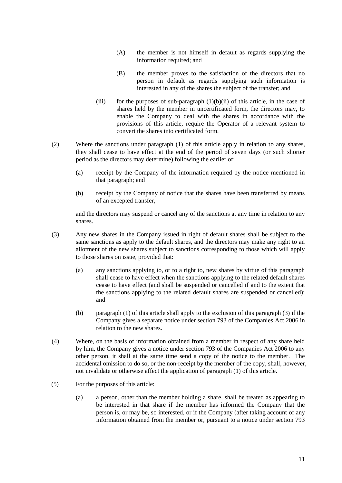- (A) the member is not himself in default as regards supplying the information required; and
- (B) the member proves to the satisfaction of the directors that no person in default as regards supplying such information is interested in any of the shares the subject of the transfer; and
- (iii) for the purposes of sub-paragraph  $(1)(b)(ii)$  of this article, in the case of shares held by the member in uncertificated form, the directors may, to enable the Company to deal with the shares in accordance with the provisions of this article, require the Operator of a relevant system to convert the shares into certificated form.
- (2) Where the sanctions under paragraph (1) of this article apply in relation to any shares, they shall cease to have effect at the end of the period of seven days (or such shorter period as the directors may determine) following the earlier of:
	- (a) receipt by the Company of the information required by the notice mentioned in that paragraph; and
	- (b) receipt by the Company of notice that the shares have been transferred by means of an excepted transfer,

and the directors may suspend or cancel any of the sanctions at any time in relation to any shares.

- (3) Any new shares in the Company issued in right of default shares shall be subject to the same sanctions as apply to the default shares, and the directors may make any right to an allotment of the new shares subject to sanctions corresponding to those which will apply to those shares on issue, provided that:
	- (a) any sanctions applying to, or to a right to, new shares by virtue of this paragraph shall cease to have effect when the sanctions applying to the related default shares cease to have effect (and shall be suspended or cancelled if and to the extent that the sanctions applying to the related default shares are suspended or cancelled); and
	- (b) paragraph (1) of this article shall apply to the exclusion of this paragraph (3) if the Company gives a separate notice under section 793 of the Companies Act 2006 in relation to the new shares.
- (4) Where, on the basis of information obtained from a member in respect of any share held by him, the Company gives a notice under section 793 of the Companies Act 2006 to any other person, it shall at the same time send a copy of the notice to the member. The accidental omission to do so, or the non-receipt by the member of the copy, shall, however, not invalidate or otherwise affect the application of paragraph (1) of this article.
- (5) For the purposes of this article:
	- (a) a person, other than the member holding a share, shall be treated as appearing to be interested in that share if the member has informed the Company that the person is, or may be, so interested, or if the Company (after taking account of any information obtained from the member or, pursuant to a notice under section 793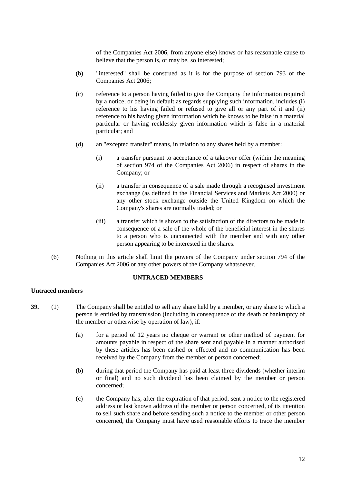of the Companies Act 2006, from anyone else) knows or has reasonable cause to believe that the person is, or may be, so interested;

- (b) "interested" shall be construed as it is for the purpose of section 793 of the Companies Act 2006;
- (c) reference to a person having failed to give the Company the information required by a notice, or being in default as regards supplying such information, includes (i) reference to his having failed or refused to give all or any part of it and (ii) reference to his having given information which he knows to be false in a material particular or having recklessly given information which is false in a material particular; and
- (d) an "excepted transfer" means, in relation to any shares held by a member:
	- (i) a transfer pursuant to acceptance of a takeover offer (within the meaning of section 974 of the Companies Act 2006) in respect of shares in the Company; or
	- (ii) a transfer in consequence of a sale made through a recognised investment exchange (as defined in the Financial Services and Markets Act 2000) or any other stock exchange outside the United Kingdom on which the Company's shares are normally traded; or
	- (iii) a transfer which is shown to the satisfaction of the directors to be made in consequence of a sale of the whole of the beneficial interest in the shares to a person who is unconnected with the member and with any other person appearing to be interested in the shares.
- (6) Nothing in this article shall limit the powers of the Company under section 794 of the Companies Act 2006 or any other powers of the Company whatsoever.

## **UNTRACED MEMBERS**

#### **Untraced members**

- **39.** (1) The Company shall be entitled to sell any share held by a member, or any share to which a person is entitled by transmission (including in consequence of the death or bankruptcy of the member or otherwise by operation of law), if:
	- (a) for a period of 12 years no cheque or warrant or other method of payment for amounts payable in respect of the share sent and payable in a manner authorised by these articles has been cashed or effected and no communication has been received by the Company from the member or person concerned;
	- (b) during that period the Company has paid at least three dividends (whether interim or final) and no such dividend has been claimed by the member or person concerned;
	- (c) the Company has, after the expiration of that period, sent a notice to the registered address or last known address of the member or person concerned, of its intention to sell such share and before sending such a notice to the member or other person concerned, the Company must have used reasonable efforts to trace the member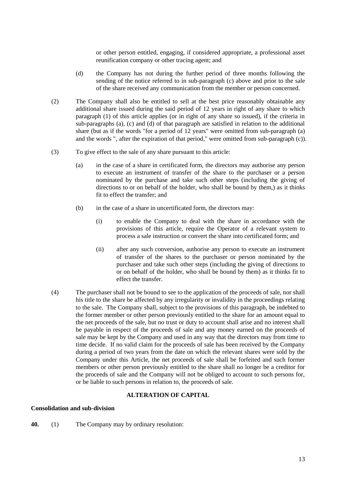or other person entitled, engaging, if considered appropriate, a professional asset reunification company or other tracing agent; and

- (d) the Company has not during the further period of three months following the sending of the notice referred to in sub-paragraph (c) above and prior to the sale of the share received any communication from the member or person concerned.
- (2) The Company shall also be entitled to sell at the best price reasonably obtainable any additional share issued during the said period of 12 years in right of any share to which paragraph (1) of this article applies (or in right of any share so issued), if the criteria in sub-paragraphs (a), (c) and (d) of that paragraph are satisfied in relation to the additional share (but as if the words "for a period of 12 years" were omitted from sub-paragraph (a) and the words ", after the expiration of that period," were omitted from sub-paragraph (c)).
- (3) To give effect to the sale of any share pursuant to this article:
	- (a) in the case of a share in certificated form, the directors may authorise any person to execute an instrument of transfer of the share to the purchaser or a person nominated by the purchase and take such other steps (including the giving of directions to or on behalf of the holder, who shall be bound by them,) as it thinks fit to effect the transfer; and
	- (b) in the case of a share in uncertificated form, the directors may:
		- (i) to enable the Company to deal with the share in accordance with the provisions of this article, require the Operator of a relevant system to process a sale instruction or convert the share into certificated form; and
		- (ii) after any such conversion, authorise any person to execute an instrument of transfer of the shares to the purchaser or person nominated by the purchaser and take such other steps (including the giving of directions to or on behalf of the holder, who shall be bound by them) as it thinks fit to effect the transfer.
- (4) The purchaser shall not be bound to see to the application of the proceeds of sale, nor shall his title to the share be affected by any irregularity or invalidity in the proceedings relating to the sale. The Company shall, subject to the provisions of this paragraph, be indebted to the former member or other person previously entitled to the share for an amount equal to the net proceeds of the sale, but no trust or duty to account shall arise and no interest shall be payable in respect of the proceeds of sale and any money earned on the proceeds of sale may be kept by the Company and used in any way that the directors may from time to time decide. If no valid claim for the proceeds of sale has been received by the Company during a period of two years from the date on which the relevant shares were sold by the Company under this Article, the net proceeds of sale shall be forfeited and such former members or other person previously entitled to the share shall no longer be a creditor for the proceeds of sale and the Company will not be obliged to account to such persons for, or be liable to such persons in relation to, the proceeds of sale.

# **ALTERATION OF CAPITAL**

#### **Consolidation and sub-division**

**40.** (1) The Company may by ordinary resolution: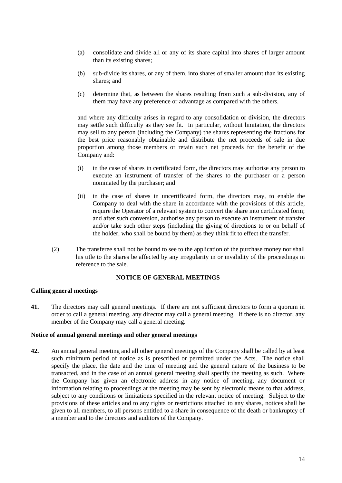- (a) consolidate and divide all or any of its share capital into shares of larger amount than its existing shares;
- (b) sub-divide its shares, or any of them, into shares of smaller amount than its existing shares; and
- (c) determine that, as between the shares resulting from such a sub-division, any of them may have any preference or advantage as compared with the others,

and where any difficulty arises in regard to any consolidation or division, the directors may settle such difficulty as they see fit. In particular, without limitation, the directors may sell to any person (including the Company) the shares representing the fractions for the best price reasonably obtainable and distribute the net proceeds of sale in due proportion among those members or retain such net proceeds for the benefit of the Company and:

- (i) in the case of shares in certificated form, the directors may authorise any person to execute an instrument of transfer of the shares to the purchaser or a person nominated by the purchaser; and
- (ii) in the case of shares in uncertificated form, the directors may, to enable the Company to deal with the share in accordance with the provisions of this article, require the Operator of a relevant system to convert the share into certificated form; and after such conversion, authorise any person to execute an instrument of transfer and/or take such other steps (including the giving of directions to or on behalf of the holder, who shall be bound by them) as they think fit to effect the transfer.
- (2) The transferee shall not be bound to see to the application of the purchase money nor shall his title to the shares be affected by any irregularity in or invalidity of the proceedings in reference to the sale.

#### **NOTICE OF GENERAL MEETINGS**

#### **Calling general meetings**

**41.** The directors may call general meetings. If there are not sufficient directors to form a quorum in order to call a general meeting, any director may call a general meeting. If there is no director, any member of the Company may call a general meeting.

#### **Notice of annual general meetings and other general meetings**

**42.** An annual general meeting and all other general meetings of the Company shall be called by at least such minimum period of notice as is prescribed or permitted under the Acts. The notice shall specify the place, the date and the time of meeting and the general nature of the business to be transacted, and in the case of an annual general meeting shall specify the meeting as such. Where the Company has given an electronic address in any notice of meeting, any document or information relating to proceedings at the meeting may be sent by electronic means to that address, subject to any conditions or limitations specified in the relevant notice of meeting. Subject to the provisions of these articles and to any rights or restrictions attached to any shares, notices shall be given to all members, to all persons entitled to a share in consequence of the death or bankruptcy of a member and to the directors and auditors of the Company.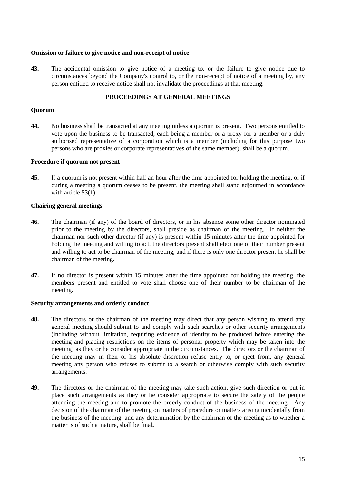#### **Omission or failure to give notice and non-receipt of notice**

**43.** The accidental omission to give notice of a meeting to, or the failure to give notice due to circumstances beyond the Company's control to, or the non-receipt of notice of a meeting by, any person entitled to receive notice shall not invalidate the proceedings at that meeting.

#### **PROCEEDINGS AT GENERAL MEETINGS**

#### **Quorum**

**44.** No business shall be transacted at any meeting unless a quorum is present. Two persons entitled to vote upon the business to be transacted, each being a member or a proxy for a member or a duly authorised representative of a corporation which is a member (including for this purpose two persons who are proxies or corporate representatives of the same member), shall be a quorum.

# **Procedure if quorum not present**

**45.** If a quorum is not present within half an hour after the time appointed for holding the meeting, or if during a meeting a quorum ceases to be present, the meeting shall stand adjourned in accordance with article [53\(1\).](#page-17-0)

#### **Chairing general meetings**

- **46.** The chairman (if any) of the board of directors, or in his absence some other director nominated prior to the meeting by the directors, shall preside as chairman of the meeting. If neither the chairman nor such other director (if any) is present within 15 minutes after the time appointed for holding the meeting and willing to act, the directors present shall elect one of their number present and willing to act to be chairman of the meeting, and if there is only one director present he shall be chairman of the meeting.
- **47.** If no director is present within 15 minutes after the time appointed for holding the meeting, the members present and entitled to vote shall choose one of their number to be chairman of the meeting.

#### **Security arrangements and orderly conduct**

- **48.** The directors or the chairman of the meeting may direct that any person wishing to attend any general meeting should submit to and comply with such searches or other security arrangements (including without limitation, requiring evidence of identity to be produced before entering the meeting and placing restrictions on the items of personal property which may be taken into the meeting) as they or he consider appropriate in the circumstances. The directors or the chairman of the meeting may in their or his absolute discretion refuse entry to, or eject from, any general meeting any person who refuses to submit to a search or otherwise comply with such security arrangements.
- **49.** The directors or the chairman of the meeting may take such action, give such direction or put in place such arrangements as they or he consider appropriate to secure the safety of the people attending the meeting and to promote the orderly conduct of the business of the meeting. Any decision of the chairman of the meeting on matters of procedure or matters arising incidentally from the business of the meeting, and any determination by the chairman of the meeting as to whether a matter is of such a nature, shall be final**.**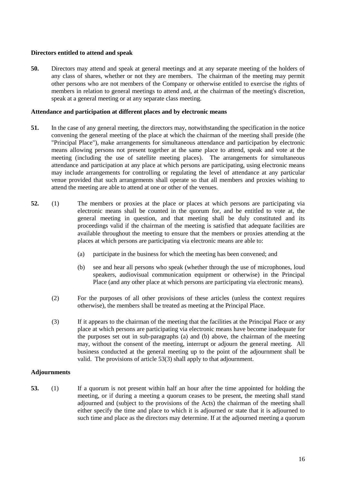# **Directors entitled to attend and speak**

**50.** Directors may attend and speak at general meetings and at any separate meeting of the holders of any class of shares, whether or not they are members. The chairman of the meeting may permit other persons who are not members of the Company or otherwise entitled to exercise the rights of members in relation to general meetings to attend and, at the chairman of the meeting's discretion, speak at a general meeting or at any separate class meeting.

#### **Attendance and participation at different places and by electronic means**

- **51.** In the case of any general meeting, the directors may, notwithstanding the specification in the notice convening the general meeting of the place at which the chairman of the meeting shall preside (the "Principal Place"), make arrangements for simultaneous attendance and participation by electronic means allowing persons not present together at the same place to attend, speak and vote at the meeting (including the use of satellite meeting places). The arrangements for simultaneous attendance and participation at any place at which persons are participating, using electronic means may include arrangements for controlling or regulating the level of attendance at any particular venue provided that such arrangements shall operate so that all members and proxies wishing to attend the meeting are able to attend at one or other of the venues.
- <span id="page-17-2"></span><span id="page-17-1"></span>**52.** (1) The members or proxies at the place or places at which persons are participating via electronic means shall be counted in the quorum for, and be entitled to vote at, the general meeting in question, and that meeting shall be duly constituted and its proceedings valid if the chairman of the meeting is satisfied that adequate facilities are available throughout the meeting to ensure that the members or proxies attending at the places at which persons are participating via electronic means are able to:
	- (a) participate in the business for which the meeting has been convened; and
	- (b) see and hear all persons who speak (whether through the use of microphones, loud speakers, audiovisual communication equipment or otherwise) in the Principal Place (and any other place at which persons are participating via electronic means).
	- (2) For the purposes of all other provisions of these articles (unless the context requires otherwise), the members shall be treated as meeting at the Principal Place.
	- (3) If it appears to the chairman of the meeting that the facilities at the Principal Place or any place at which persons are participating via electronic means have become inadequate for the purposes set out in sub-paragraphs [\(a\)](#page-17-1) and [\(b\)](#page-17-2) above, the chairman of the meeting may, without the consent of the meeting, interrupt or adjourn the general meeting. All business conducted at the general meeting up to the point of the adjournment shall be valid. The provisions of article 5[3\(3\)](#page-18-0) shall apply to that adjournment.

#### **Adjournments**

<span id="page-17-0"></span>**53.** (1) If a quorum is not present within half an hour after the time appointed for holding the meeting, or if during a meeting a quorum ceases to be present, the meeting shall stand adjourned and (subject to the provisions of the Acts) the chairman of the meeting shall either specify the time and place to which it is adjourned or state that it is adjourned to such time and place as the directors may determine. If at the adjourned meeting a quorum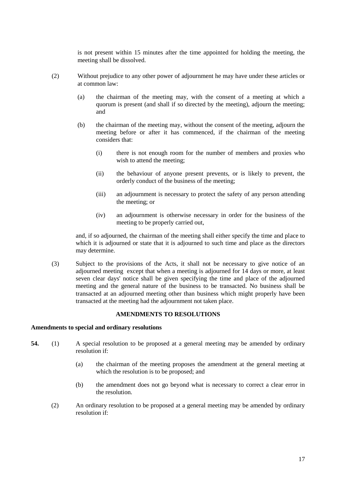is not present within 15 minutes after the time appointed for holding the meeting, the meeting shall be dissolved.

- (2) Without prejudice to any other power of adjournment he may have under these articles or at common law:
	- (a) the chairman of the meeting may, with the consent of a meeting at which a quorum is present (and shall if so directed by the meeting), adjourn the meeting; and
	- (b) the chairman of the meeting may, without the consent of the meeting, adjourn the meeting before or after it has commenced, if the chairman of the meeting considers that:
		- (i) there is not enough room for the number of members and proxies who wish to attend the meeting;
		- (ii) the behaviour of anyone present prevents, or is likely to prevent, the orderly conduct of the business of the meeting;
		- (iii) an adjournment is necessary to protect the safety of any person attending the meeting; or
		- (iv) an adjournment is otherwise necessary in order for the business of the meeting to be properly carried out,

and, if so adjourned, the chairman of the meeting shall either specify the time and place to which it is adjourned or state that it is adjourned to such time and place as the directors may determine.

<span id="page-18-0"></span>(3) Subject to the provisions of the Acts, it shall not be necessary to give notice of an adjourned meeting except that when a meeting is adjourned for 14 days or more, at least seven clear days' notice shall be given specifying the time and place of the adjourned meeting and the general nature of the business to be transacted. No business shall be transacted at an adjourned meeting other than business which might properly have been transacted at the meeting had the adjournment not taken place.

#### **AMENDMENTS TO RESOLUTIONS**

#### **Amendments to special and ordinary resolutions**

- **54.** (1) A special resolution to be proposed at a general meeting may be amended by ordinary resolution if:
	- (a) the chairman of the meeting proposes the amendment at the general meeting at which the resolution is to be proposed; and
	- (b) the amendment does not go beyond what is necessary to correct a clear error in the resolution.
	- (2) An ordinary resolution to be proposed at a general meeting may be amended by ordinary resolution if: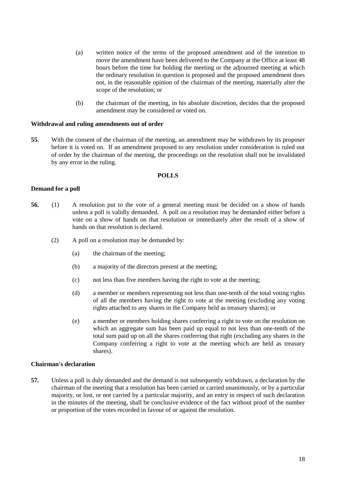- (a) written notice of the terms of the proposed amendment and of the intention to move the amendment have been delivered to the Company at the Office at least 48 hours before the time for holding the meeting or the adjourned meeting at which the ordinary resolution in question is proposed and the proposed amendment does not, in the reasonable opinion of the chairman of the meeting, materially alter the scope of the resolution; or
- (b) the chairman of the meeting, in his absolute discretion, decides that the proposed amendment may be considered or voted on.

#### **Withdrawal and ruling amendments out of order**

**55.** With the consent of the chairman of the meeting, an amendment may be withdrawn by its proposer before it is voted on. If an amendment proposed to any resolution under consideration is ruled out of order by the chairman of the meeting, the proceedings on the resolution shall not be invalidated by any error in the ruling.

#### **POLLS**

#### **Demand for a poll**

- **56.** (1) A resolution put to the vote of a general meeting must be decided on a show of hands unless a poll is validly demanded. A poll on a resolution may be demanded either before a vote on a show of hands on that resolution or immediately after the result of a show of hands on that resolution is declared.
	- (2) A poll on a resolution may be demanded by:
		- (a) the chairman of the meeting;
		- (b) a majority of the directors present at the meeting;
		- (c) not less than five members having the right to vote at the meeting;
		- (d) a member or members representing not less than one-tenth of the total voting rights of all the members having the right to vote at the meeting (excluding any voting rights attached to any shares in the Company held as treasury shares); or
		- (e) a member or members holding shares conferring a right to vote on the resolution on which an aggregate sum has been paid up equal to not less than one-tenth of the total sum paid up on all the shares conferring that right (excluding any shares in the Company conferring a right to vote at the meeting which are held as treasury shares).

#### **Chairman's declaration**

**57.** Unless a poll is duly demanded and the demand is not subsequently withdrawn, a declaration by the chairman of the meeting that a resolution has been carried or carried unanimously, or by a particular majority, or lost, or not carried by a particular majority, and an entry in respect of such declaration in the minutes of the meeting, shall be conclusive evidence of the fact without proof of the number or proportion of the votes recorded in favour of or against the resolution.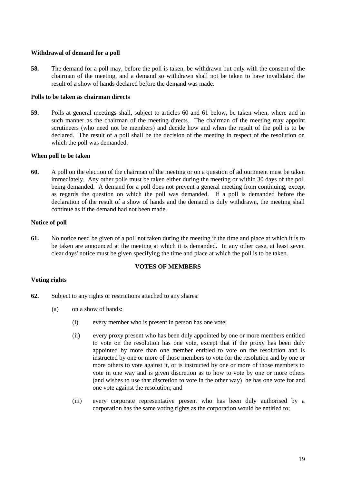## **Withdrawal of demand for a poll**

**58.** The demand for a poll may, before the poll is taken, be withdrawn but only with the consent of the chairman of the meeting, and a demand so withdrawn shall not be taken to have invalidated the result of a show of hands declared before the demand was made.

## **Polls to be taken as chairman directs**

**59.** Polls at general meetings shall, subject to articles [60](#page-20-0) and [61](#page-20-1) below, be taken when, where and in such manner as the chairman of the meeting directs. The chairman of the meeting may appoint scrutineers (who need not be members) and decide how and when the result of the poll is to be declared. The result of a poll shall be the decision of the meeting in respect of the resolution on which the poll was demanded.

# **When poll to be taken**

<span id="page-20-0"></span>**60.** A poll on the election of the chairman of the meeting or on a question of adjournment must be taken immediately. Any other polls must be taken either during the meeting or within 30 days of the poll being demanded. A demand for a poll does not prevent a general meeting from continuing, except as regards the question on which the poll was demanded. If a poll is demanded before the declaration of the result of a show of hands and the demand is duly withdrawn, the meeting shall continue as if the demand had not been made.

# **Notice of poll**

<span id="page-20-1"></span>**61.** No notice need be given of a poll not taken during the meeting if the time and place at which it is to be taken are announced at the meeting at which it is demanded. In any other case, at least seven clear days' notice must be given specifying the time and place at which the poll is to be taken.

# **VOTES OF MEMBERS**

# **Voting rights**

- **62.** Subject to any rights or restrictions attached to any shares:
	- (a) on a show of hands:
		- (i) every member who is present in person has one vote;
		- (ii) every proxy present who has been duly appointed by one or more members entitled to vote on the resolution has one vote, except that if the proxy has been duly appointed by more than one member entitled to vote on the resolution and is instructed by one or more of those members to vote for the resolution and by one or more others to vote against it, or is instructed by one or more of those members to vote in one way and is given discretion as to how to vote by one or more others (and wishes to use that discretion to vote in the other way) he has one vote for and one vote against the resolution; and
		- (iii) every corporate representative present who has been duly authorised by a corporation has the same voting rights as the corporation would be entitled to;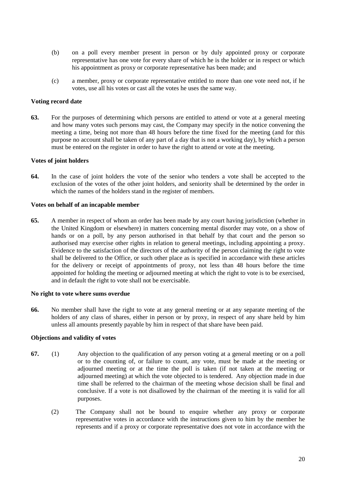- (b) on a poll every member present in person or by duly appointed proxy or corporate representative has one vote for every share of which he is the holder or in respect or which his appointment as proxy or corporate representative has been made; and
- (c) a member, proxy or corporate representative entitled to more than one vote need not, if he votes, use all his votes or cast all the votes he uses the same way.

#### **Voting record date**

**63.** For the purposes of determining which persons are entitled to attend or vote at a general meeting and how many votes such persons may cast, the Company may specify in the notice convening the meeting a time, being not more than 48 hours before the time fixed for the meeting (and for this purpose no account shall be taken of any part of a day that is not a working day), by which a person must be entered on the register in order to have the right to attend or vote at the meeting.

# **Votes of joint holders**

<span id="page-21-0"></span>**64.** In the case of joint holders the vote of the senior who tenders a vote shall be accepted to the exclusion of the votes of the other joint holders, and seniority shall be determined by the order in which the names of the holders stand in the register of members.

#### **Votes on behalf of an incapable member**

**65.** A member in respect of whom an order has been made by any court having jurisdiction (whether in the United Kingdom or elsewhere) in matters concerning mental disorder may vote, on a show of hands or on a poll, by any person authorised in that behalf by that court and the person so authorised may exercise other rights in relation to general meetings, including appointing a proxy. Evidence to the satisfaction of the directors of the authority of the person claiming the right to vote shall be delivered to the Office, or such other place as is specified in accordance with these articles for the delivery or receipt of appointments of proxy, not less than 48 hours before the time appointed for holding the meeting or adjourned meeting at which the right to vote is to be exercised, and in default the right to vote shall not be exercisable.

#### **No right to vote where sums overdue**

**66.** No member shall have the right to vote at any general meeting or at any separate meeting of the holders of any class of shares, either in person or by proxy, in respect of any share held by him unless all amounts presently payable by him in respect of that share have been paid.

#### **Objections and validity of votes**

- **67.** (1) Any objection to the qualification of any person voting at a general meeting or on a poll or to the counting of, or failure to count, any vote, must be made at the meeting or adjourned meeting or at the time the poll is taken (if not taken at the meeting or adjourned meeting) at which the vote objected to is tendered. Any objection made in due time shall be referred to the chairman of the meeting whose decision shall be final and conclusive. If a vote is not disallowed by the chairman of the meeting it is valid for all purposes.
	- (2) The Company shall not be bound to enquire whether any proxy or corporate representative votes in accordance with the instructions given to him by the member he represents and if a proxy or corporate representative does not vote in accordance with the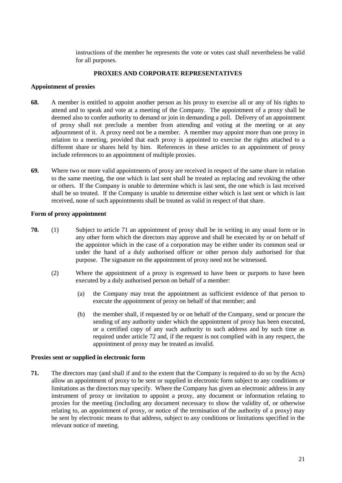instructions of the member he represents the vote or votes cast shall nevertheless be valid for all purposes.

## **PROXIES AND CORPORATE REPRESENTATIVES**

#### **Appointment of proxies**

- **68.** A member is entitled to appoint another person as his proxy to exercise all or any of his rights to attend and to speak and vote at a meeting of the Company. The appointment of a proxy shall be deemed also to confer authority to demand or join in demanding a poll. Delivery of an appointment of proxy shall not preclude a member from attending and voting at the meeting or at any adjournment of it. A proxy need not be a member. A member may appoint more than one proxy in relation to a meeting, provided that each proxy is appointed to exercise the rights attached to a different share or shares held by him. References in these articles to an appointment of proxy include references to an appointment of multiple proxies.
- **69.** Where two or more valid appointments of proxy are received in respect of the same share in relation to the same meeting, the one which is last sent shall be treated as replacing and revoking the other or others. If the Company is unable to determine which is last sent, the one which is last received shall be so treated. If the Company is unable to determine either which is last sent or which is last received, none of such appointments shall be treated as valid in respect of that share.

# **Form of proxy appointment**

- **70.** (1) Subject to article [71](#page-22-0) an appointment of proxy shall be in writing in any usual form or in any other form which the directors may approve and shall be executed by or on behalf of the appointor which in the case of a corporation may be either under its common seal or under the hand of a duly authorised officer or other person duly authorised for that purpose. The signature on the appointment of proxy need not be witnessed.
	- (2) Where the appointment of a proxy is expressed to have been or purports to have been executed by a duly authorised person on behalf of a member:
		- (a) the Company may treat the appointment as sufficient evidence of that person to execute the appointment of proxy on behalf of that member; and
		- (b) the member shall, if requested by or on behalf of the Company, send or procure the sending of any authority under which the appointment of proxy has been executed, or a certified copy of any such authority to such address and by such time as required under article [72](#page-23-0) and, if the request is not complied with in any respect, the appointment of proxy may be treated as invalid.

#### **Proxies sent or supplied in electronic form**

<span id="page-22-0"></span>**71.** The directors may (and shall if and to the extent that the Company is required to do so by the Acts) allow an appointment of proxy to be sent or supplied in electronic form subject to any conditions or limitations as the directors may specify. Where the Company has given an electronic address in any instrument of proxy or invitation to appoint a proxy, any document or information relating to proxies for the meeting (including any document necessary to show the validity of, or otherwise relating to, an appointment of proxy, or notice of the termination of the authority of a proxy) may be sent by electronic means to that address, subject to any conditions or limitations specified in the relevant notice of meeting.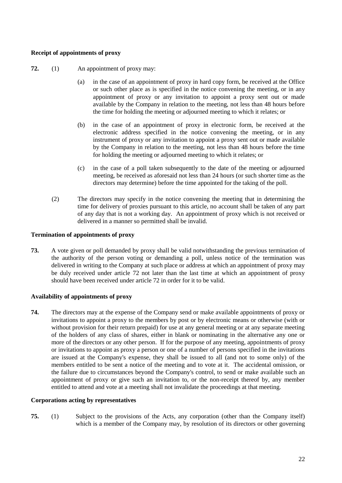## **Receipt of appointments of proxy**

- <span id="page-23-0"></span>**72.** (1) An appointment of proxy may:
	- (a) in the case of an appointment of proxy in hard copy form, be received at the Office or such other place as is specified in the notice convening the meeting, or in any appointment of proxy or any invitation to appoint a proxy sent out or made available by the Company in relation to the meeting, not less than 48 hours before the time for holding the meeting or adjourned meeting to which it relates; or
	- (b) in the case of an appointment of proxy in electronic form, be received at the electronic address specified in the notice convening the meeting, or in any instrument of proxy or any invitation to appoint a proxy sent out or made available by the Company in relation to the meeting, not less than 48 hours before the time for holding the meeting or adjourned meeting to which it relates; or
	- (c) in the case of a poll taken subsequently to the date of the meeting or adjourned meeting, be received as aforesaid not less than 24 hours (or such shorter time as the directors may determine) before the time appointed for the taking of the poll.
	- (2) The directors may specify in the notice convening the meeting that in determining the time for delivery of proxies pursuant to this article, no account shall be taken of any part of any day that is not a working day. An appointment of proxy which is not received or delivered in a manner so permitted shall be invalid.

# **Termination of appointments of proxy**

**73.** A vote given or poll demanded by proxy shall be valid notwithstanding the previous termination of the authority of the person voting or demanding a poll, unless notice of the termination was delivered in writing to the Company at such place or address at which an appointment of proxy may be duly received under article [72](#page-23-0) not later than the last time at which an appointment of proxy should have been received under articl[e 72](#page-23-0) in order for it to be valid.

# **Availability of appointments of proxy**

**74.** The directors may at the expense of the Company send or make available appointments of proxy or invitations to appoint a proxy to the members by post or by electronic means or otherwise (with or without provision for their return prepaid) for use at any general meeting or at any separate meeting of the holders of any class of shares, either in blank or nominating in the alternative any one or more of the directors or any other person. If for the purpose of any meeting, appointments of proxy or invitations to appoint as proxy a person or one of a number of persons specified in the invitations are issued at the Company's expense, they shall be issued to all (and not to some only) of the members entitled to be sent a notice of the meeting and to vote at it. The accidental omission, or the failure due to circumstances beyond the Company's control, to send or make available such an appointment of proxy or give such an invitation to, or the non-receipt thereof by, any member entitled to attend and vote at a meeting shall not invalidate the proceedings at that meeting.

#### **Corporations acting by representatives**

**75.** (1) Subject to the provisions of the Acts, any corporation (other than the Company itself) which is a member of the Company may, by resolution of its directors or other governing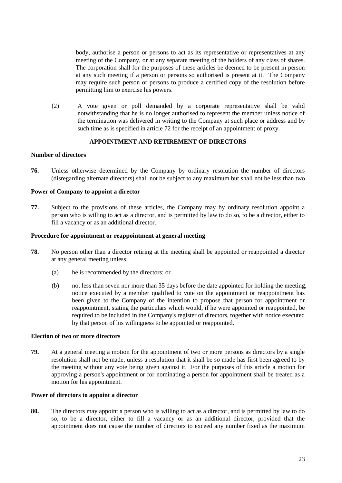body, authorise a person or persons to act as its representative or representatives at any meeting of the Company, or at any separate meeting of the holders of any class of shares. The corporation shall for the purposes of these articles be deemed to be present in person at any such meeting if a person or persons so authorised is present at it. The Company may require such person or persons to produce a certified copy of the resolution before permitting him to exercise his powers.

(2) A vote given or poll demanded by a corporate representative shall be valid notwithstanding that he is no longer authorised to represent the member unless notice of the termination was delivered in writing to the Company at such place or address and by such time as is specified in article [72](#page-23-0) for the receipt of an appointment of proxy.

# **APPOINTMENT AND RETIREMENT OF DIRECTORS**

#### **Number of directors**

**76.** Unless otherwise determined by the Company by ordinary resolution the number of directors (disregarding alternate directors) shall not be subject to any maximum but shall not be less than two.

#### **Power of Company to appoint a director**

**77.** Subject to the provisions of these articles, the Company may by ordinary resolution appoint a person who is willing to act as a director, and is permitted by law to do so, to be a director, either to fill a vacancy or as an additional director.

#### **Procedure for appointment or reappointment at general meeting**

- **78.** No person other than a director retiring at the meeting shall be appointed or reappointed a director at any general meeting unless:
	- (a) he is recommended by the directors; or
	- (b) not less than seven nor more than 35 days before the date appointed for holding the meeting, notice executed by a member qualified to vote on the appointment or reappointment has been given to the Company of the intention to propose that person for appointment or reappointment, stating the particulars which would, if he were appointed or reappointed, be required to be included in the Company's register of directors, together with notice executed by that person of his willingness to be appointed or reappointed.

# **Election of two or more directors**

**79.** At a general meeting a motion for the appointment of two or more persons as directors by a single resolution shall not be made, unless a resolution that it shall be so made has first been agreed to by the meeting without any vote being given against it. For the purposes of this article a motion for approving a person's appointment or for nominating a person for appointment shall be treated as a motion for his appointment.

#### **Power of directors to appoint a director**

**80.** The directors may appoint a person who is willing to act as a director, and is permitted by law to do so, to be a director, either to fill a vacancy or as an additional director, provided that the appointment does not cause the number of directors to exceed any number fixed as the maximum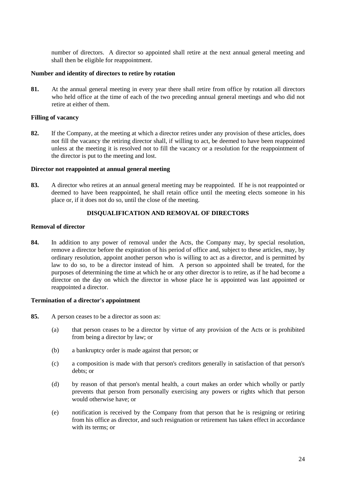number of directors. A director so appointed shall retire at the next annual general meeting and shall then be eligible for reappointment.

#### **Number and identity of directors to retire by rotation**

**81.** At the annual general meeting in every year there shall retire from office by rotation all directors who held office at the time of each of the two preceding annual general meetings and who did not retire at either of them.

#### **Filling of vacancy**

**82.** If the Company, at the meeting at which a director retires under any provision of these articles, does not fill the vacancy the retiring director shall, if willing to act, be deemed to have been reappointed unless at the meeting it is resolved not to fill the vacancy or a resolution for the reappointment of the director is put to the meeting and lost.

#### **Director not reappointed at annual general meeting**

**83.** A director who retires at an annual general meeting may be reappointed. If he is not reappointed or deemed to have been reappointed, he shall retain office until the meeting elects someone in his place or, if it does not do so, until the close of the meeting.

#### **DISQUALIFICATION AND REMOVAL OF DIRECTORS**

#### **Removal of director**

**84.** In addition to any power of removal under the Acts, the Company may, by special resolution, remove a director before the expiration of his period of office and, subject to these articles, may, by ordinary resolution, appoint another person who is willing to act as a director, and is permitted by law to do so, to be a director instead of him. A person so appointed shall be treated, for the purposes of determining the time at which he or any other director is to retire, as if he had become a director on the day on which the director in whose place he is appointed was last appointed or reappointed a director.

#### **Termination of a director's appointment**

- **85.** A person ceases to be a director as soon as:
	- (a) that person ceases to be a director by virtue of any provision of the Acts or is prohibited from being a director by law; or
	- (b) a bankruptcy order is made against that person; or
	- (c) a composition is made with that person's creditors generally in satisfaction of that person's debts; or
	- (d) by reason of that person's mental health, a court makes an order which wholly or partly prevents that person from personally exercising any powers or rights which that person would otherwise have; or
	- (e) notification is received by the Company from that person that he is resigning or retiring from his office as director, and such resignation or retirement has taken effect in accordance with its terms; or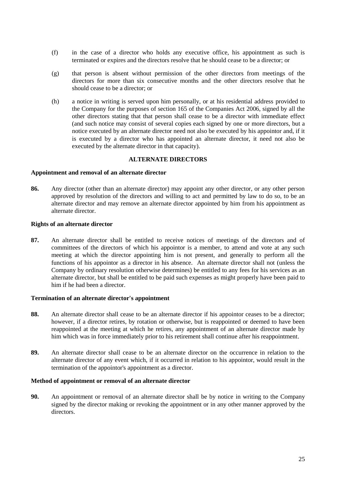- (f) in the case of a director who holds any executive office, his appointment as such is terminated or expires and the directors resolve that he should cease to be a director; or
- (g) that person is absent without permission of the other directors from meetings of the directors for more than six consecutive months and the other directors resolve that he should cease to be a director; or
- (h) a notice in writing is served upon him personally, or at his residential address provided to the Company for the purposes of section 165 of the Companies Act 2006, signed by all the other directors stating that that person shall cease to be a director with immediate effect (and such notice may consist of several copies each signed by one or more directors, but a notice executed by an alternate director need not also be executed by his appointor and, if it is executed by a director who has appointed an alternate director, it need not also be executed by the alternate director in that capacity).

#### **ALTERNATE DIRECTORS**

#### **Appointment and removal of an alternate director**

**86.** Any director (other than an alternate director) may appoint any other director, or any other person approved by resolution of the directors and willing to act and permitted by law to do so, to be an alternate director and may remove an alternate director appointed by him from his appointment as alternate director.

#### **Rights of an alternate director**

**87.** An alternate director shall be entitled to receive notices of meetings of the directors and of committees of the directors of which his appointor is a member, to attend and vote at any such meeting at which the director appointing him is not present, and generally to perform all the functions of his appointor as a director in his absence. An alternate director shall not (unless the Company by ordinary resolution otherwise determines) be entitled to any fees for his services as an alternate director, but shall be entitled to be paid such expenses as might properly have been paid to him if he had been a director.

#### **Termination of an alternate director's appointment**

- **88.** An alternate director shall cease to be an alternate director if his appointor ceases to be a director; however, if a director retires, by rotation or otherwise, but is reappointed or deemed to have been reappointed at the meeting at which he retires, any appointment of an alternate director made by him which was in force immediately prior to his retirement shall continue after his reappointment.
- **89.** An alternate director shall cease to be an alternate director on the occurrence in relation to the alternate director of any event which, if it occurred in relation to his appointor, would result in the termination of the appointor's appointment as a director.

#### **Method of appointment or removal of an alternate director**

**90.** An appointment or removal of an alternate director shall be by notice in writing to the Company signed by the director making or revoking the appointment or in any other manner approved by the directors.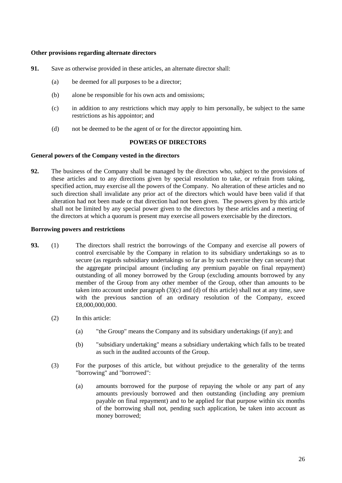#### **Other provisions regarding alternate directors**

- **91.** Save as otherwise provided in these articles, an alternate director shall:
	- (a) be deemed for all purposes to be a director;
	- (b) alone be responsible for his own acts and omissions;
	- (c) in addition to any restrictions which may apply to him personally, be subject to the same restrictions as his appointor; and
	- (d) not be deemed to be the agent of or for the director appointing him.

## **POWERS OF DIRECTORS**

#### **General powers of the Company vested in the directors**

**92.** The business of the Company shall be managed by the directors who, subject to the provisions of these articles and to any directions given by special resolution to take, or refrain from taking, specified action, may exercise all the powers of the Company. No alteration of these articles and no such direction shall invalidate any prior act of the directors which would have been valid if that alteration had not been made or that direction had not been given. The powers given by this article shall not be limited by any special power given to the directors by these articles and a meeting of the directors at which a quorum is present may exercise all powers exercisable by the directors.

#### **Borrowing powers and restrictions**

- **93.** (1) The directors shall restrict the borrowings of the Company and exercise all powers of control exercisable by the Company in relation to its subsidiary undertakings so as to secure (as regards subsidiary undertakings so far as by such exercise they can secure) that the aggregate principal amount (including any premium payable on final repayment) outstanding of all money borrowed by the Group (excluding amounts borrowed by any member of the Group from any other member of the Group, other than amounts to be taken into account under paragraph (3)(c) and (d) of this article) shall not at any time, save with the previous sanction of an ordinary resolution of the Company, exceed £8,000,000,000.
	- (2) In this article:
		- (a) "the Group" means the Company and its subsidiary undertakings (if any); and
		- (b) "subsidiary undertaking" means a subsidiary undertaking which falls to be treated as such in the audited accounts of the Group.
	- (3) For the purposes of this article, but without prejudice to the generality of the terms "borrowing" and "borrowed":
		- (a) amounts borrowed for the purpose of repaying the whole or any part of any amounts previously borrowed and then outstanding (including any premium payable on final repayment) and to be applied for that purpose within six months of the borrowing shall not, pending such application, be taken into account as money borrowed;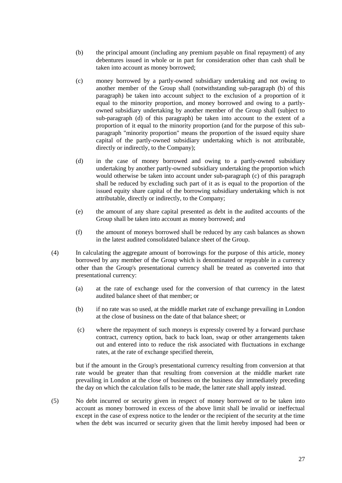- (b) the principal amount (including any premium payable on final repayment) of any debentures issued in whole or in part for consideration other than cash shall be taken into account as money borrowed;
- (c) money borrowed by a partly-owned subsidiary undertaking and not owing to another member of the Group shall (notwithstanding sub-paragraph (b) of this paragraph) be taken into account subject to the exclusion of a proportion of it equal to the minority proportion, and money borrowed and owing to a partlyowned subsidiary undertaking by another member of the Group shall (subject to sub-paragraph (d) of this paragraph) be taken into account to the extent of a proportion of it equal to the minority proportion (and for the purpose of this subparagraph "minority proportion" means the proportion of the issued equity share capital of the partly-owned subsidiary undertaking which is not attributable, directly or indirectly, to the Company);
- (d) in the case of money borrowed and owing to a partly-owned subsidiary undertaking by another partly-owned subsidiary undertaking the proportion which would otherwise be taken into account under sub-paragraph (c) of this paragraph shall be reduced by excluding such part of it as is equal to the proportion of the issued equity share capital of the borrowing subsidiary undertaking which is not attributable, directly or indirectly, to the Company;
- (e) the amount of any share capital presented as debt in the audited accounts of the Group shall be taken into account as money borrowed; and
- (f) the amount of moneys borrowed shall be reduced by any cash balances as shown in the latest audited consolidated balance sheet of the Group.
- (4) In calculating the aggregate amount of borrowings for the purpose of this article, money borrowed by any member of the Group which is denominated or repayable in a currency other than the Group's presentational currency shall be treated as converted into that presentational currency:
	- (a) at the rate of exchange used for the conversion of that currency in the latest audited balance sheet of that member; or
	- (b) if no rate was so used, at the middle market rate of exchange prevailing in London at the close of business on the date of that balance sheet; or
	- (c) where the repayment of such moneys is expressly covered by a forward purchase contract, currency option, back to back loan, swap or other arrangements taken out and entered into to reduce the risk associated with fluctuations in exchange rates, at the rate of exchange specified therein,

but if the amount in the Group's presentational currency resulting from conversion at that rate would be greater than that resulting from conversion at the middle market rate prevailing in London at the close of business on the business day immediately preceding the day on which the calculation falls to be made, the latter rate shall apply instead.

(5) No debt incurred or security given in respect of money borrowed or to be taken into account as money borrowed in excess of the above limit shall be invalid or ineffectual except in the case of express notice to the lender or the recipient of the security at the time when the debt was incurred or security given that the limit hereby imposed had been or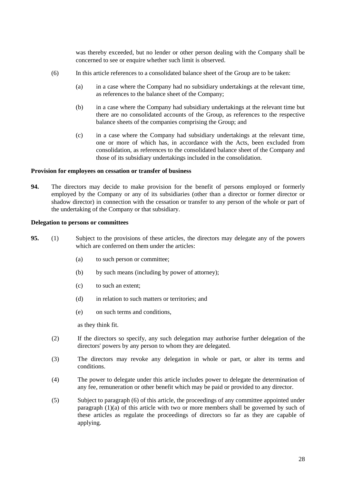was thereby exceeded, but no lender or other person dealing with the Company shall be concerned to see or enquire whether such limit is observed.

- (6) In this article references to a consolidated balance sheet of the Group are to be taken:
	- (a) in a case where the Company had no subsidiary undertakings at the relevant time, as references to the balance sheet of the Company;
	- (b) in a case where the Company had subsidiary undertakings at the relevant time but there are no consolidated accounts of the Group, as references to the respective balance sheets of the companies comprising the Group; and
	- (c) in a case where the Company had subsidiary undertakings at the relevant time, one or more of which has, in accordance with the Acts, been excluded from consolidation, as references to the consolidated balance sheet of the Company and those of its subsidiary undertakings included in the consolidation.

#### **Provision for employees on cessation or transfer of business**

**94.** The directors may decide to make provision for the benefit of persons employed or formerly employed by the Company or any of its subsidiaries (other than a director or former director or shadow director) in connection with the cessation or transfer to any person of the whole or part of the undertaking of the Company or that subsidiary.

#### **Delegation to persons or committees**

- **95.** (1) Subject to the provisions of these articles, the directors may delegate any of the powers which are conferred on them under the articles:
	- (a) to such person or committee;
	- (b) by such means (including by power of attorney);
	- (c) to such an extent;
	- (d) in relation to such matters or territories; and
	- (e) on such terms and conditions,

as they think fit.

- (2) If the directors so specify, any such delegation may authorise further delegation of the directors' powers by any person to whom they are delegated.
- (3) The directors may revoke any delegation in whole or part, or alter its terms and conditions.
- (4) The power to delegate under this article includes power to delegate the determination of any fee, remuneration or other benefit which may be paid or provided to any director.
- (5) Subject to paragraph (6) of this article, the proceedings of any committee appointed under paragraph  $(1)(a)$  of this article with two or more members shall be governed by such of these articles as regulate the proceedings of directors so far as they are capable of applying.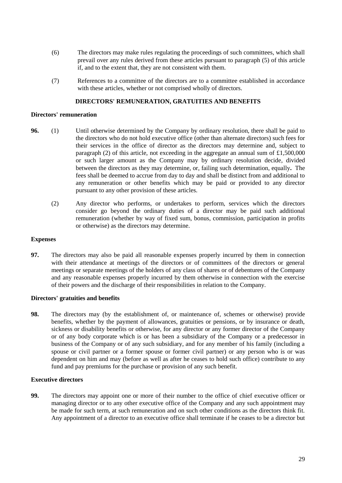- (6) The directors may make rules regulating the proceedings of such committees, which shall prevail over any rules derived from these articles pursuant to paragraph (5) of this article if, and to the extent that, they are not consistent with them.
- (7) References to a committee of the directors are to a committee established in accordance with these articles, whether or not comprised wholly of directors.

#### **DIRECTORS' REMUNERATION, GRATUITIES AND BENEFITS**

#### **Directors' remuneration**

- **96.** (1) Until otherwise determined by the Company by ordinary resolution, there shall be paid to the directors who do not hold executive office (other than alternate directors) such fees for their services in the office of director as the directors may determine and, subject to paragraph (2) of this article, not exceeding in the aggregate an annual sum of  $£1,500,000$ or such larger amount as the Company may by ordinary resolution decide, divided between the directors as they may determine, or, failing such determination, equally**.** The fees shall be deemed to accrue from day to day and shall be distinct from and additional to any remuneration or other benefits which may be paid or provided to any director pursuant to any other provision of these articles.
	- (2) Any director who performs, or undertakes to perform, services which the directors consider go beyond the ordinary duties of a director may be paid such additional remuneration (whether by way of fixed sum, bonus, commission, participation in profits or otherwise) as the directors may determine.

#### **Expenses**

**97.** The directors may also be paid all reasonable expenses properly incurred by them in connection with their attendance at meetings of the directors or of committees of the directors or general meetings or separate meetings of the holders of any class of shares or of debentures of the Company and any reasonable expenses properly incurred by them otherwise in connection with the exercise of their powers and the discharge of their responsibilities in relation to the Company.

#### **Directors' gratuities and benefits**

**98.** The directors may (by the establishment of, or maintenance of, schemes or otherwise) provide benefits, whether by the payment of allowances, gratuities or pensions, or by insurance or death, sickness or disability benefits or otherwise, for any director or any former director of the Company or of any body corporate which is or has been a subsidiary of the Company or a predecessor in business of the Company or of any such subsidiary, and for any member of his family (including a spouse or civil partner or a former spouse or former civil partner) or any person who is or was dependent on him and may (before as well as after he ceases to hold such office) contribute to any fund and pay premiums for the purchase or provision of any such benefit.

#### **Executive directors**

**99.** The directors may appoint one or more of their number to the office of chief executive officer or managing director or to any other executive office of the Company and any such appointment may be made for such term, at such remuneration and on such other conditions as the directors think fit. Any appointment of a director to an executive office shall terminate if he ceases to be a director but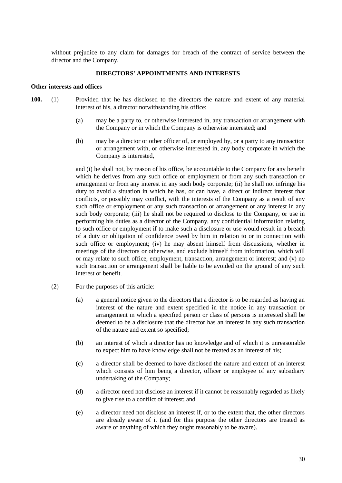without prejudice to any claim for damages for breach of the contract of service between the director and the Company.

# **DIRECTORS' APPOINTMENTS AND INTERESTS**

# **Other interests and offices**

- **100.** (1) Provided that he has disclosed to the directors the nature and extent of any material interest of his, a director notwithstanding his office:
	- (a) may be a party to, or otherwise interested in, any transaction or arrangement with the Company or in which the Company is otherwise interested; and
	- (b) may be a director or other officer of, or employed by, or a party to any transaction or arrangement with, or otherwise interested in, any body corporate in which the Company is interested,

and (i) he shall not, by reason of his office, be accountable to the Company for any benefit which he derives from any such office or employment or from any such transaction or arrangement or from any interest in any such body corporate; (ii) he shall not infringe his duty to avoid a situation in which he has, or can have, a direct or indirect interest that conflicts, or possibly may conflict, with the interests of the Company as a result of any such office or employment or any such transaction or arrangement or any interest in any such body corporate; (iii) he shall not be required to disclose to the Company, or use in performing his duties as a director of the Company, any confidential information relating to such office or employment if to make such a disclosure or use would result in a breach of a duty or obligation of confidence owed by him in relation to or in connection with such office or employment; (iv) he may absent himself from discussions, whether in meetings of the directors or otherwise, and exclude himself from information, which will or may relate to such office, employment, transaction, arrangement or interest; and (v) no such transaction or arrangement shall be liable to be avoided on the ground of any such interest or benefit.

- (2) For the purposes of this article:
	- (a) a general notice given to the directors that a director is to be regarded as having an interest of the nature and extent specified in the notice in any transaction or arrangement in which a specified person or class of persons is interested shall be deemed to be a disclosure that the director has an interest in any such transaction of the nature and extent so specified;
	- (b) an interest of which a director has no knowledge and of which it is unreasonable to expect him to have knowledge shall not be treated as an interest of his;
	- (c) a director shall be deemed to have disclosed the nature and extent of an interest which consists of him being a director, officer or employee of any subsidiary undertaking of the Company;
	- (d) a director need not disclose an interest if it cannot be reasonably regarded as likely to give rise to a conflict of interest; and
	- (e) a director need not disclose an interest if, or to the extent that, the other directors are already aware of it (and for this purpose the other directors are treated as aware of anything of which they ought reasonably to be aware).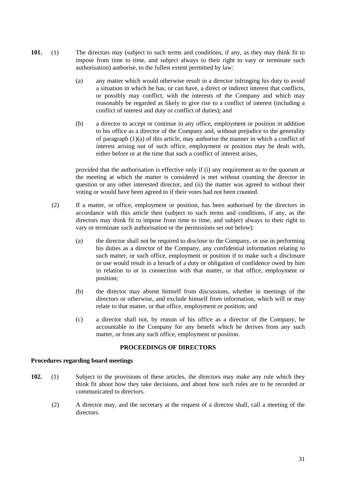- **101.** (1) The directors may (subject to such terms and conditions, if any, as they may think fit to impose from time to time, and subject always to their right to vary or terminate such authorisation) authorise, to the fullest extent permitted by law:
	- (a) any matter which would otherwise result in a director infringing his duty to avoid a situation in which he has, or can have, a direct or indirect interest that conflicts, or possibly may conflict, with the interests of the Company and which may reasonably be regarded as likely to give rise to a conflict of interest (including a conflict of interest and duty or conflict of duties); and
	- (b) a director to accept or continue in any office, employment or position in addition to his office as a director of the Company and, without prejudice to the generality of paragraph (1)(a) of this article, may authorise the manner in which a conflict of interest arising out of such office, employment or position may be dealt with, either before or at the time that such a conflict of interest arises,

provided that the authorisation is effective only if (i) any requirement as to the quorum at the meeting at which the matter is considered is met without counting the director in question or any other interested director, and (ii) the matter was agreed to without their voting or would have been agreed to if their votes had not been counted.

- (2) If a matter, or office, employment or position, has been authorised by the directors in accordance with this article then (subject to such terms and conditions, if any, as the directors may think fit to impose from time to time, and subject always to their right to vary or terminate such authorisation or the permissions set out below):
	- (a) the director shall not be required to disclose to the Company, or use in performing his duties as a director of the Company, any confidential information relating to such matter, or such office, employment or position if to make such a disclosure or use would result in a breach of a duty or obligation of confidence owed by him in relation to or in connection with that matter, or that office, employment or position;
	- (b) the director may absent himself from discussions, whether in meetings of the directors or otherwise, and exclude himself from information, which will or may relate to that matter, or that office, employment or position; and
	- (c) a director shall not, by reason of his office as a director of the Company, be accountable to the Company for any benefit which he derives from any such matter, or from any such office, employment or position.

#### **PROCEEDINGS OF DIRECTORS**

#### **Procedures regarding board meetings**

- **102.** (1) Subject to the provisions of these articles, the directors may make any rule which they think fit about how they take decisions, and about how such rules are to be recorded or communicated to directors.
	- (2) A director may, and the secretary at the request of a director shall, call a meeting of the directors.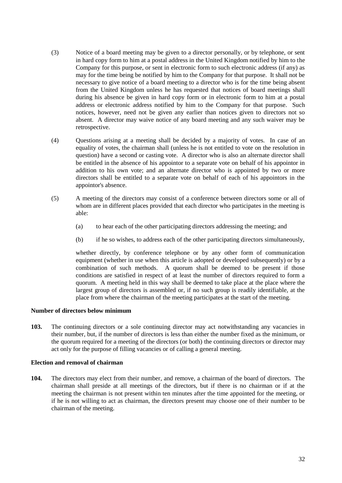- (3) Notice of a board meeting may be given to a director personally, or by telephone, or sent in hard copy form to him at a postal address in the United Kingdom notified by him to the Company for this purpose, or sent in electronic form to such electronic address (if any) as may for the time being be notified by him to the Company for that purpose. It shall not be necessary to give notice of a board meeting to a director who is for the time being absent from the United Kingdom unless he has requested that notices of board meetings shall during his absence be given in hard copy form or in electronic form to him at a postal address or electronic address notified by him to the Company for that purpose. Such notices, however, need not be given any earlier than notices given to directors not so absent. A director may waive notice of any board meeting and any such waiver may be retrospective.
- (4) Questions arising at a meeting shall be decided by a majority of votes. In case of an equality of votes, the chairman shall (unless he is not entitled to vote on the resolution in question) have a second or casting vote. A director who is also an alternate director shall be entitled in the absence of his appointor to a separate vote on behalf of his appointor in addition to his own vote; and an alternate director who is appointed by two or more directors shall be entitled to a separate vote on behalf of each of his appointors in the appointor's absence.
- (5) A meeting of the directors may consist of a conference between directors some or all of whom are in different places provided that each director who participates in the meeting is able:
	- (a) to hear each of the other participating directors addressing the meeting; and
	- (b) if he so wishes, to address each of the other participating directors simultaneously,

whether directly, by conference telephone or by any other form of communication equipment (whether in use when this article is adopted or developed subsequently) or by a combination of such methods. A quorum shall be deemed to be present if those conditions are satisfied in respect of at least the number of directors required to form a quorum. A meeting held in this way shall be deemed to take place at the place where the largest group of directors is assembled or, if no such group is readily identifiable, at the place from where the chairman of the meeting participates at the start of the meeting.

#### **Number of directors below minimum**

**103.** The continuing directors or a sole continuing director may act notwithstanding any vacancies in their number, but, if the number of directors is less than either the number fixed as the minimum, or the quorum required for a meeting of the directors (or both) the continuing directors or director may act only for the purpose of filling vacancies or of calling a general meeting.

#### **Election and removal of chairman**

**104.** The directors may elect from their number, and remove, a chairman of the board of directors. The chairman shall preside at all meetings of the directors, but if there is no chairman or if at the meeting the chairman is not present within ten minutes after the time appointed for the meeting, or if he is not willing to act as chairman, the directors present may choose one of their number to be chairman of the meeting.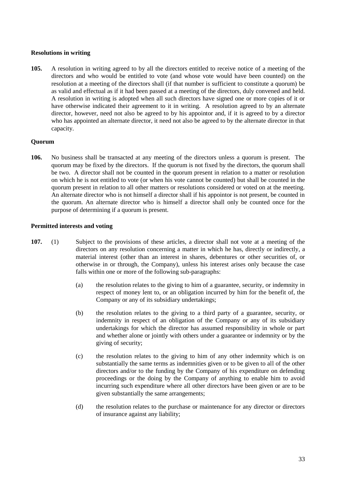## **Resolutions in writing**

**105.** A resolution in writing agreed to by all the directors entitled to receive notice of a meeting of the directors and who would be entitled to vote (and whose vote would have been counted) on the resolution at a meeting of the directors shall (if that number is sufficient to constitute a quorum) be as valid and effectual as if it had been passed at a meeting of the directors, duly convened and held. A resolution in writing is adopted when all such directors have signed one or more copies of it or have otherwise indicated their agreement to it in writing. A resolution agreed to by an alternate director, however, need not also be agreed to by his appointor and, if it is agreed to by a director who has appointed an alternate director, it need not also be agreed to by the alternate director in that capacity.

#### **Quorum**

**106.** No business shall be transacted at any meeting of the directors unless a quorum is present. The quorum may be fixed by the directors. If the quorum is not fixed by the directors, the quorum shall be two. A director shall not be counted in the quorum present in relation to a matter or resolution on which he is not entitled to vote (or when his vote cannot be counted) but shall be counted in the quorum present in relation to all other matters or resolutions considered or voted on at the meeting. An alternate director who is not himself a director shall if his appointor is not present, be counted in the quorum. An alternate director who is himself a director shall only be counted once for the purpose of determining if a quorum is present.

# **Permitted interests and voting**

- **107.** (1) Subject to the provisions of these articles, a director shall not vote at a meeting of the directors on any resolution concerning a matter in which he has, directly or indirectly, a material interest (other than an interest in shares, debentures or other securities of, or otherwise in or through, the Company), unless his interest arises only because the case falls within one or more of the following sub-paragraphs:
	- (a) the resolution relates to the giving to him of a guarantee, security, or indemnity in respect of money lent to, or an obligation incurred by him for the benefit of, the Company or any of its subsidiary undertakings;
	- (b) the resolution relates to the giving to a third party of a guarantee, security, or indemnity in respect of an obligation of the Company or any of its subsidiary undertakings for which the director has assumed responsibility in whole or part and whether alone or jointly with others under a guarantee or indemnity or by the giving of security;
	- (c) the resolution relates to the giving to him of any other indemnity which is on substantially the same terms as indemnities given or to be given to all of the other directors and/or to the funding by the Company of his expenditure on defending proceedings or the doing by the Company of anything to enable him to avoid incurring such expenditure where all other directors have been given or are to be given substantially the same arrangements;
	- (d) the resolution relates to the purchase or maintenance for any director or directors of insurance against any liability;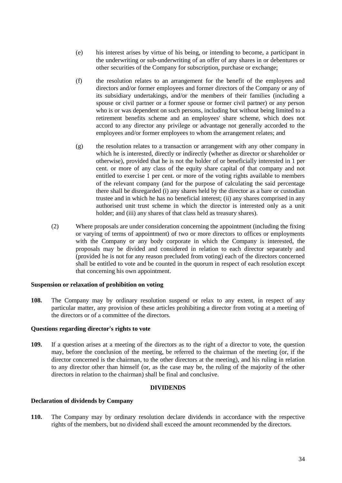- (e) his interest arises by virtue of his being, or intending to become, a participant in the underwriting or sub-underwriting of an offer of any shares in or debentures or other securities of the Company for subscription, purchase or exchange;
- (f) the resolution relates to an arrangement for the benefit of the employees and directors and/or former employees and former directors of the Company or any of its subsidiary undertakings, and/or the members of their families (including a spouse or civil partner or a former spouse or former civil partner) or any person who is or was dependent on such persons, including but without being limited to a retirement benefits scheme and an employees' share scheme, which does not accord to any director any privilege or advantage not generally accorded to the employees and/or former employees to whom the arrangement relates; and
- (g) the resolution relates to a transaction or arrangement with any other company in which he is interested, directly or indirectly (whether as director or shareholder or otherwise), provided that he is not the holder of or beneficially interested in 1 per cent. or more of any class of the equity share capital of that company and not entitled to exercise 1 per cent. or more of the voting rights available to members of the relevant company (and for the purpose of calculating the said percentage there shall be disregarded (i) any shares held by the director as a bare or custodian trustee and in which he has no beneficial interest; (ii) any shares comprised in any authorised unit trust scheme in which the director is interested only as a unit holder; and (iii) any shares of that class held as treasury shares).
- (2) Where proposals are under consideration concerning the appointment (including the fixing or varying of terms of appointment) of two or more directors to offices or employments with the Company or any body corporate in which the Company is interested, the proposals may be divided and considered in relation to each director separately and (provided he is not for any reason precluded from voting) each of the directors concerned shall be entitled to vote and be counted in the quorum in respect of each resolution except that concerning his own appointment.

#### **Suspension or relaxation of prohibition on voting**

**108.** The Company may by ordinary resolution suspend or relax to any extent, in respect of any particular matter, any provision of these articles prohibiting a director from voting at a meeting of the directors or of a committee of the directors.

#### **Questions regarding director's rights to vote**

**109.** If a question arises at a meeting of the directors as to the right of a director to vote, the question may, before the conclusion of the meeting, be referred to the chairman of the meeting (or, if the director concerned is the chairman, to the other directors at the meeting), and his ruling in relation to any director other than himself (or, as the case may be, the ruling of the majority of the other directors in relation to the chairman) shall be final and conclusive.

#### **DIVIDENDS**

#### **Declaration of dividends by Company**

**110.** The Company may by ordinary resolution declare dividends in accordance with the respective rights of the members, but no dividend shall exceed the amount recommended by the directors.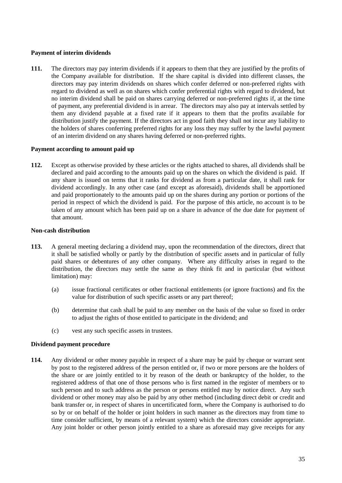# **Payment of interim dividends**

**111.** The directors may pay interim dividends if it appears to them that they are justified by the profits of the Company available for distribution. If the share capital is divided into different classes, the directors may pay interim dividends on shares which confer deferred or non-preferred rights with regard to dividend as well as on shares which confer preferential rights with regard to dividend, but no interim dividend shall be paid on shares carrying deferred or non-preferred rights if, at the time of payment, any preferential dividend is in arrear. The directors may also pay at intervals settled by them any dividend payable at a fixed rate if it appears to them that the profits available for distribution justify the payment. If the directors act in good faith they shall not incur any liability to the holders of shares conferring preferred rights for any loss they may suffer by the lawful payment of an interim dividend on any shares having deferred or non-preferred rights.

#### **Payment according to amount paid up**

**112.** Except as otherwise provided by these articles or the rights attached to shares, all dividends shall be declared and paid according to the amounts paid up on the shares on which the dividend is paid. If any share is issued on terms that it ranks for dividend as from a particular date, it shall rank for dividend accordingly. In any other case (and except as aforesaid), dividends shall be apportioned and paid proportionately to the amounts paid up on the shares during any portion or portions of the period in respect of which the dividend is paid. For the purpose of this article, no account is to be taken of any amount which has been paid up on a share in advance of the due date for payment of that amount.

# **Non-cash distribution**

- **113.** A general meeting declaring a dividend may, upon the recommendation of the directors, direct that it shall be satisfied wholly or partly by the distribution of specific assets and in particular of fully paid shares or debentures of any other company. Where any difficulty arises in regard to the distribution, the directors may settle the same as they think fit and in particular (but without limitation) may:
	- (a) issue fractional certificates or other fractional entitlements (or ignore fractions) and fix the value for distribution of such specific assets or any part thereof;
	- (b) determine that cash shall be paid to any member on the basis of the value so fixed in order to adjust the rights of those entitled to participate in the dividend; and
	- (c) vest any such specific assets in trustees.

# **Dividend payment procedure**

**114.** Any dividend or other money payable in respect of a share may be paid by cheque or warrant sent by post to the registered address of the person entitled or, if two or more persons are the holders of the share or are jointly entitled to it by reason of the death or bankruptcy of the holder, to the registered address of that one of those persons who is first named in the register of members or to such person and to such address as the person or persons entitled may by notice direct. Any such dividend or other money may also be paid by any other method (including direct debit or credit and bank transfer or, in respect of shares in uncertificated form, where the Company is authorised to do so by or on behalf of the holder or joint holders in such manner as the directors may from time to time consider sufficient, by means of a relevant system) which the directors consider appropriate. Any joint holder or other person jointly entitled to a share as aforesaid may give receipts for any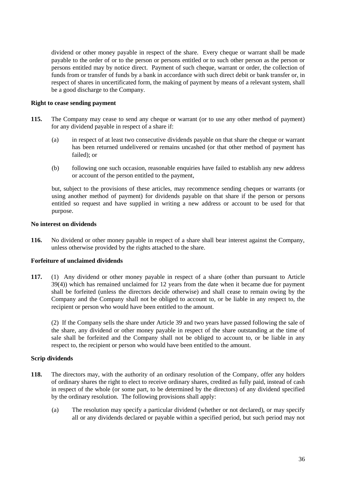dividend or other money payable in respect of the share. Every cheque or warrant shall be made payable to the order of or to the person or persons entitled or to such other person as the person or persons entitled may by notice direct. Payment of such cheque, warrant or order, the collection of funds from or transfer of funds by a bank in accordance with such direct debit or bank transfer or, in respect of shares in uncertificated form, the making of payment by means of a relevant system, shall be a good discharge to the Company.

# **Right to cease sending payment**

- **115.** The Company may cease to send any cheque or warrant (or to use any other method of payment) for any dividend payable in respect of a share if:
	- (a) in respect of at least two consecutive dividends payable on that share the cheque or warrant has been returned undelivered or remains uncashed (or that other method of payment has failed); or
	- (b) following one such occasion, reasonable enquiries have failed to establish any new address or account of the person entitled to the payment,

but, subject to the provisions of these articles, may recommence sending cheques or warrants (or using another method of payment) for dividends payable on that share if the person or persons entitled so request and have supplied in writing a new address or account to be used for that purpose.

# **No interest on dividends**

**116.** No dividend or other money payable in respect of a share shall bear interest against the Company, unless otherwise provided by the rights attached to the share.

#### **Forfeiture of unclaimed dividends**

**117.** (1) Any dividend or other money payable in respect of a share (other than pursuant to Article 39(4)) which has remained unclaimed for 12 years from the date when it became due for payment shall be forfeited (unless the directors decide otherwise) and shall cease to remain owing by the Company and the Company shall not be obliged to account to, or be liable in any respect to, the recipient or person who would have been entitled to the amount.

(2) If the Company sells the share under Article 39 and two years have passed following the sale of the share, any dividend or other money payable in respect of the share outstanding at the time of sale shall be forfeited and the Company shall not be obliged to account to, or be liable in any respect to, the recipient or person who would have been entitled to the amount.

# **Scrip dividends**

- **118.** The directors may, with the authority of an ordinary resolution of the Company, offer any holders of ordinary shares the right to elect to receive ordinary shares, credited as fully paid, instead of cash in respect of the whole (or some part, to be determined by the directors) of any dividend specified by the ordinary resolution. The following provisions shall apply:
	- (a) The resolution may specify a particular dividend (whether or not declared), or may specify all or any dividends declared or payable within a specified period, but such period may not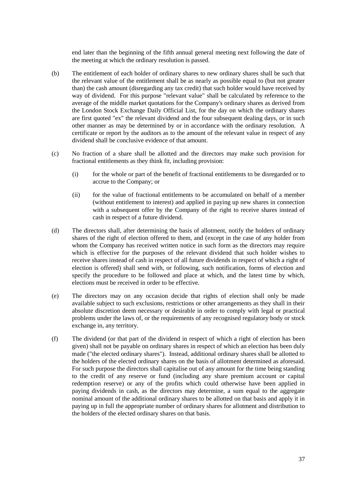end later than the beginning of the fifth annual general meeting next following the date of the meeting at which the ordinary resolution is passed.

- (b) The entitlement of each holder of ordinary shares to new ordinary shares shall be such that the relevant value of the entitlement shall be as nearly as possible equal to (but not greater than) the cash amount (disregarding any tax credit) that such holder would have received by way of dividend. For this purpose "relevant value" shall be calculated by reference to the average of the middle market quotations for the Company's ordinary shares as derived from the London Stock Exchange Daily Official List, for the day on which the ordinary shares are first quoted "ex" the relevant dividend and the four subsequent dealing days, or in such other manner as may be determined by or in accordance with the ordinary resolution. A certificate or report by the auditors as to the amount of the relevant value in respect of any dividend shall be conclusive evidence of that amount.
- (c) No fraction of a share shall be allotted and the directors may make such provision for fractional entitlements as they think fit, including provision:
	- (i) for the whole or part of the benefit of fractional entitlements to be disregarded or to accrue to the Company; or
	- (ii) for the value of fractional entitlements to be accumulated on behalf of a member (without entitlement to interest) and applied in paying up new shares in connection with a subsequent offer by the Company of the right to receive shares instead of cash in respect of a future dividend.
- (d) The directors shall, after determining the basis of allotment, notify the holders of ordinary shares of the right of election offered to them, and (except in the case of any holder from whom the Company has received written notice in such form as the directors may require which is effective for the purposes of the relevant dividend that such holder wishes to receive shares instead of cash in respect of all future dividends in respect of which a right of election is offered) shall send with, or following, such notification, forms of election and specify the procedure to be followed and place at which, and the latest time by which, elections must be received in order to be effective.
- (e) The directors may on any occasion decide that rights of election shall only be made available subject to such exclusions, restrictions or other arrangements as they shall in their absolute discretion deem necessary or desirable in order to comply with legal or practical problems under the laws of, or the requirements of any recognised regulatory body or stock exchange in, any territory.
- (f) The dividend (or that part of the dividend in respect of which a right of election has been given) shall not be payable on ordinary shares in respect of which an election has been duly made ("the elected ordinary shares"). Instead, additional ordinary shares shall be allotted to the holders of the elected ordinary shares on the basis of allotment determined as aforesaid. For such purpose the directors shall capitalise out of any amount for the time being standing to the credit of any reserve or fund (including any share premium account or capital redemption reserve) or any of the profits which could otherwise have been applied in paying dividends in cash, as the directors may determine, a sum equal to the aggregate nominal amount of the additional ordinary shares to be allotted on that basis and apply it in paying up in full the appropriate number of ordinary shares for allotment and distribution to the holders of the elected ordinary shares on that basis.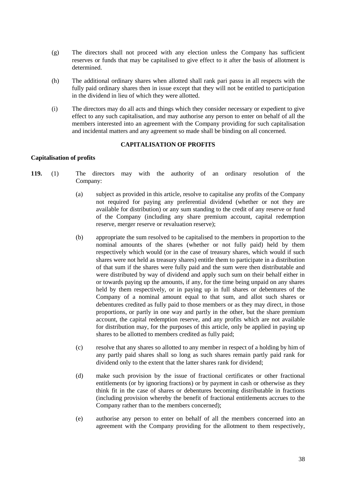- (g) The directors shall not proceed with any election unless the Company has sufficient reserves or funds that may be capitalised to give effect to it after the basis of allotment is determined.
- (h) The additional ordinary shares when allotted shall rank pari passu in all respects with the fully paid ordinary shares then in issue except that they will not be entitled to participation in the dividend in lieu of which they were allotted.
- (i) The directors may do all acts and things which they consider necessary or expedient to give effect to any such capitalisation, and may authorise any person to enter on behalf of all the members interested into an agreement with the Company providing for such capitalisation and incidental matters and any agreement so made shall be binding on all concerned.

#### **CAPITALISATION OF PROFITS**

#### **Capitalisation of profits**

- **119.** (1) The directors may with the authority of an ordinary resolution of the Company:
	- (a) subject as provided in this article, resolve to capitalise any profits of the Company not required for paying any preferential dividend (whether or not they are available for distribution) or any sum standing to the credit of any reserve or fund of the Company (including any share premium account, capital redemption reserve, merger reserve or revaluation reserve);
	- (b) appropriate the sum resolved to be capitalised to the members in proportion to the nominal amounts of the shares (whether or not fully paid) held by them respectively which would (or in the case of treasury shares, which would if such shares were not held as treasury shares) entitle them to participate in a distribution of that sum if the shares were fully paid and the sum were then distributable and were distributed by way of dividend and apply such sum on their behalf either in or towards paying up the amounts, if any, for the time being unpaid on any shares held by them respectively, or in paying up in full shares or debentures of the Company of a nominal amount equal to that sum, and allot such shares or debentures credited as fully paid to those members or as they may direct, in those proportions, or partly in one way and partly in the other, but the share premium account, the capital redemption reserve, and any profits which are not available for distribution may, for the purposes of this article, only be applied in paying up shares to be allotted to members credited as fully paid;
	- (c) resolve that any shares so allotted to any member in respect of a holding by him of any partly paid shares shall so long as such shares remain partly paid rank for dividend only to the extent that the latter shares rank for dividend;
	- (d) make such provision by the issue of fractional certificates or other fractional entitlements (or by ignoring fractions) or by payment in cash or otherwise as they think fit in the case of shares or debentures becoming distributable in fractions (including provision whereby the benefit of fractional entitlements accrues to the Company rather than to the members concerned);
	- (e) authorise any person to enter on behalf of all the members concerned into an agreement with the Company providing for the allotment to them respectively,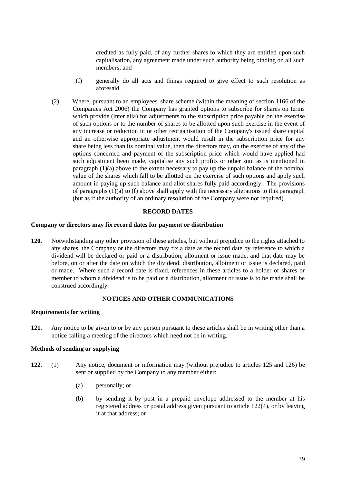credited as fully paid, of any further shares to which they are entitled upon such capitalisation, any agreement made under such authority being binding on all such members; and

- (f) generally do all acts and things required to give effect to such resolution as aforesaid.
- (2) Where, pursuant to an employees' share scheme (within the meaning of section 1166 of the Companies Act 2006) the Company has granted options to subscribe for shares on terms which provide (inter alia) for adjustments to the subscription price payable on the exercise of such options or to the number of shares to be allotted upon such exercise in the event of any increase or reduction in or other reorganisation of the Company's issued share capital and an otherwise appropriate adjustment would result in the subscription price for any share being less than its nominal value, then the directors may, on the exercise of any of the options concerned and payment of the subscription price which would have applied had such adjustment been made, capitalise any such profits or other sum as is mentioned in paragraph  $(1)(a)$  above to the extent necessary to pay up the unpaid balance of the nominal value of the shares which fall to be allotted on the exercise of such options and apply such amount in paying up such balance and allot shares fully paid accordingly. The provisions of paragraphs (1)(a) to (f) above shall apply with the necessary alterations to this paragraph (but as if the authority of an ordinary resolution of the Company were not required).

#### **RECORD DATES**

#### **Company or directors may fix record dates for payment or distribution**

**120.** Notwithstanding any other provision of these articles, but without prejudice to the rights attached to any shares, the Company or the directors may fix a date as the record date by reference to which a dividend will be declared or paid or a distribution, allotment or issue made, and that date may be before, on or after the date on which the dividend, distribution, allotment or issue is declared, paid or made. Where such a record date is fixed, references in these articles to a holder of shares or member to whom a dividend is to be paid or a distribution, allotment or issue is to be made shall be construed accordingly.

# **NOTICES AND OTHER COMMUNICATIONS**

#### **Requirements for writing**

**121.** Any notice to be given to or by any person pursuant to these articles shall be in writing other than a notice calling a meeting of the directors which need not be in writing.

## **Methods of sending or supplying**

- **122.** (1) Any notice, document or information may (without prejudice to articles 125 and 126) be sent or supplied by the Company to any member either:
	- (a) personally; or
	- (b) by sending it by post in a prepaid envelope addressed to the member at his registered address or postal address given pursuant to article 122(4), or by leaving it at that address; or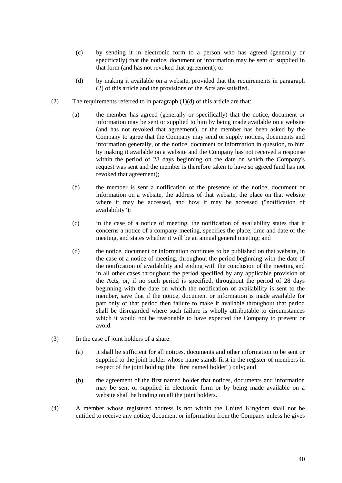- (c) by sending it in electronic form to a person who has agreed (generally or specifically) that the notice, document or information may be sent or supplied in that form (and has not revoked that agreement); or
- (d) by making it available on a website, provided that the requirements in paragraph (2) of this article and the provisions of the Acts are satisfied.
- (2) The requirements referred to in paragraph  $(1)(d)$  of this article are that:
	- (a) the member has agreed (generally or specifically) that the notice, document or information may be sent or supplied to him by being made available on a website (and has not revoked that agreement), or the member has been asked by the Company to agree that the Company may send or supply notices, documents and information generally, or the notice, document or information in question, to him by making it available on a website and the Company has not received a response within the period of 28 days beginning on the date on which the Company's request was sent and the member is therefore taken to have so agreed (and has not revoked that agreement);
	- (b) the member is sent a notification of the presence of the notice, document or information on a website, the address of that website, the place on that website where it may be accessed, and how it may be accessed ("notification of availability");
	- (c) in the case of a notice of meeting, the notification of availability states that it concerns a notice of a company meeting, specifies the place, time and date of the meeting, and states whether it will be an annual general meeting; and
	- (d) the notice, document or information continues to be published on that website, in the case of a notice of meeting, throughout the period beginning with the date of the notification of availability and ending with the conclusion of the meeting and in all other cases throughout the period specified by any applicable provision of the Acts, or, if no such period is specified, throughout the period of 28 days beginning with the date on which the notification of availability is sent to the member, save that if the notice, document or information is made available for part only of that period then failure to make it available throughout that period shall be disregarded where such failure is wholly attributable to circumstances which it would not be reasonable to have expected the Company to prevent or avoid.
- (3) In the case of joint holders of a share:
	- (a) it shall be sufficient for all notices, documents and other information to be sent or supplied to the joint holder whose name stands first in the register of members in respect of the joint holding (the "first named holder") only; and
	- (b) the agreement of the first named holder that notices, documents and information may be sent or supplied in electronic form or by being made available on a website shall be binding on all the joint holders.
- (4) A member whose registered address is not within the United Kingdom shall not be entitled to receive any notice, document or information from the Company unless he gives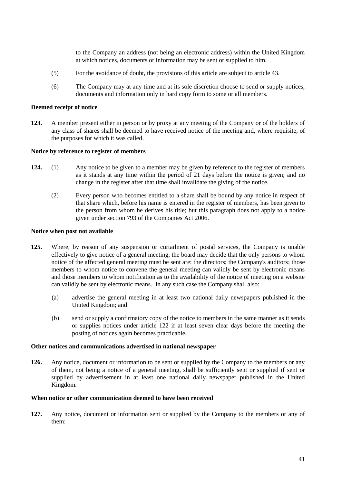to the Company an address (not being an electronic address) within the United Kingdom at which notices, documents or information may be sent or supplied to him.

- (5) For the avoidance of doubt, the provisions of this article are subject to article 43.
- (6) The Company may at any time and at its sole discretion choose to send or supply notices, documents and information only in hard copy form to some or all members.

# **Deemed receipt of notice**

**123.** A member present either in person or by proxy at any meeting of the Company or of the holders of any class of shares shall be deemed to have received notice of the meeting and, where requisite, of the purposes for which it was called.

#### **Notice by reference to register of members**

- **124.** (1) Any notice to be given to a member may be given by reference to the register of members as it stands at any time within the period of 21 days before the notice is given; and no change in the register after that time shall invalidate the giving of the notice.
	- (2) Every person who becomes entitled to a share shall be bound by any notice in respect of that share which, before his name is entered in the register of members, has been given to the person from whom he derives his title; but this paragraph does not apply to a notice given under section 793 of the Companies Act 2006.

#### **Notice when post not available**

- **125.** Where, by reason of any suspension or curtailment of postal services, the Company is unable effectively to give notice of a general meeting, the board may decide that the only persons to whom notice of the affected general meeting must be sent are: the directors; the Company's auditors; those members to whom notice to convene the general meeting can validly be sent by electronic means and those members to whom notification as to the availability of the notice of meeting on a website can validly be sent by electronic means. In any such case the Company shall also:
	- (a) advertise the general meeting in at least two national daily newspapers published in the United Kingdom; and
	- (b) send or supply a confirmatory copy of the notice to members in the same manner as it sends or supplies notices under article 122 if at least seven clear days before the meeting the posting of notices again becomes practicable.

#### **Other notices and communications advertised in national newspaper**

**126.** Any notice, document or information to be sent or supplied by the Company to the members or any of them, not being a notice of a general meeting, shall be sufficiently sent or supplied if sent or supplied by advertisement in at least one national daily newspaper published in the United Kingdom.

#### **When notice or other communication deemed to have been received**

**127.** Any notice, document or information sent or supplied by the Company to the members or any of them: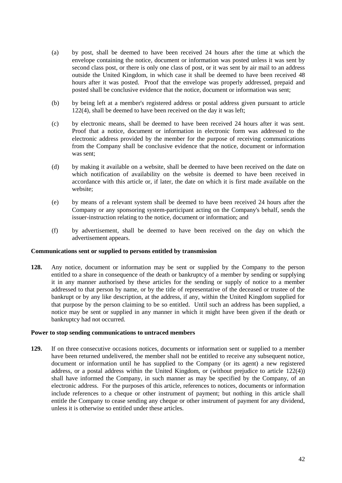- (a) by post, shall be deemed to have been received 24 hours after the time at which the envelope containing the notice, document or information was posted unless it was sent by second class post, or there is only one class of post, or it was sent by air mail to an address outside the United Kingdom, in which case it shall be deemed to have been received 48 hours after it was posted. Proof that the envelope was properly addressed, prepaid and posted shall be conclusive evidence that the notice, document or information was sent;
- (b) by being left at a member's registered address or postal address given pursuant to article 122(4), shall be deemed to have been received on the day it was left;
- (c) by electronic means, shall be deemed to have been received 24 hours after it was sent. Proof that a notice, document or information in electronic form was addressed to the electronic address provided by the member for the purpose of receiving communications from the Company shall be conclusive evidence that the notice, document or information was sent;
- (d) by making it available on a website, shall be deemed to have been received on the date on which notification of availability on the website is deemed to have been received in accordance with this article or, if later, the date on which it is first made available on the website;
- (e) by means of a relevant system shall be deemed to have been received 24 hours after the Company or any sponsoring system-participant acting on the Company's behalf, sends the issuer-instruction relating to the notice, document or information; and
- (f) by advertisement, shall be deemed to have been received on the day on which the advertisement appears.

#### **Communications sent or supplied to persons entitled by transmission**

**128.** Any notice, document or information may be sent or supplied by the Company to the person entitled to a share in consequence of the death or bankruptcy of a member by sending or supplying it in any manner authorised by these articles for the sending or supply of notice to a member addressed to that person by name, or by the title of representative of the deceased or trustee of the bankrupt or by any like description, at the address, if any, within the United Kingdom supplied for that purpose by the person claiming to be so entitled. Until such an address has been supplied, a notice may be sent or supplied in any manner in which it might have been given if the death or bankruptcy had not occurred.

#### **Power to stop sending communications to untraced members**

**129.** If on three consecutive occasions notices, documents or information sent or supplied to a member have been returned undelivered, the member shall not be entitled to receive any subsequent notice, document or information until he has supplied to the Company (or its agent) a new registered address, or a postal address within the United Kingdom, or (without prejudice to article 122(4)) shall have informed the Company, in such manner as may be specified by the Company, of an electronic address. For the purposes of this article, references to notices, documents or information include references to a cheque or other instrument of payment; but nothing in this article shall entitle the Company to cease sending any cheque or other instrument of payment for any dividend, unless it is otherwise so entitled under these articles.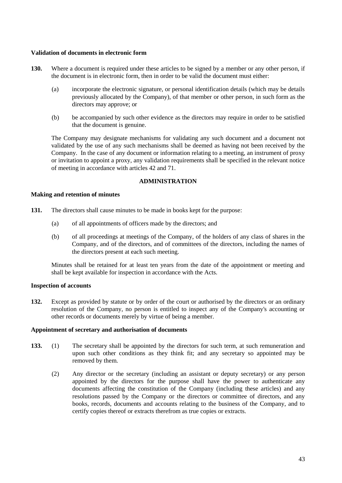#### **Validation of documents in electronic form**

- 130. Where a document is required under these articles to be signed by a member or any other person, if the document is in electronic form, then in order to be valid the document must either:
	- (a) incorporate the electronic signature, or personal identification details (which may be details previously allocated by the Company), of that member or other person, in such form as the directors may approve; or
	- (b) be accompanied by such other evidence as the directors may require in order to be satisfied that the document is genuine.

The Company may designate mechanisms for validating any such document and a document not validated by the use of any such mechanisms shall be deemed as having not been received by the Company. In the case of any document or information relating to a meeting, an instrument of proxy or invitation to appoint a proxy, any validation requirements shall be specified in the relevant notice of meeting in accordance with articles 42 and 71.

# **ADMINISTRATION**

#### **Making and retention of minutes**

- **131.** The directors shall cause minutes to be made in books kept for the purpose:
	- (a) of all appointments of officers made by the directors; and
	- (b) of all proceedings at meetings of the Company, of the holders of any class of shares in the Company, and of the directors, and of committees of the directors, including the names of the directors present at each such meeting.

Minutes shall be retained for at least ten years from the date of the appointment or meeting and shall be kept available for inspection in accordance with the Acts.

## **Inspection of accounts**

**132.** Except as provided by statute or by order of the court or authorised by the directors or an ordinary resolution of the Company, no person is entitled to inspect any of the Company's accounting or other records or documents merely by virtue of being a member.

#### **Appointment of secretary and authorisation of documents**

- **133.** (1) The secretary shall be appointed by the directors for such term, at such remuneration and upon such other conditions as they think fit; and any secretary so appointed may be removed by them.
	- (2) Any director or the secretary (including an assistant or deputy secretary) or any person appointed by the directors for the purpose shall have the power to authenticate any documents affecting the constitution of the Company (including these articles) and any resolutions passed by the Company or the directors or committee of directors, and any books, records, documents and accounts relating to the business of the Company, and to certify copies thereof or extracts therefrom as true copies or extracts.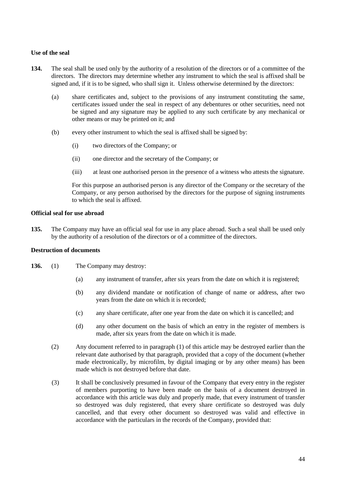## **Use of the seal**

- **134.** The seal shall be used only by the authority of a resolution of the directors or of a committee of the directors. The directors may determine whether any instrument to which the seal is affixed shall be signed and, if it is to be signed, who shall sign it. Unless otherwise determined by the directors:
	- (a) share certificates and, subject to the provisions of any instrument constituting the same, certificates issued under the seal in respect of any debentures or other securities, need not be signed and any signature may be applied to any such certificate by any mechanical or other means or may be printed on it; and
	- (b) every other instrument to which the seal is affixed shall be signed by:
		- (i) two directors of the Company; or
		- (ii) one director and the secretary of the Company; or
		- (iii) at least one authorised person in the presence of a witness who attests the signature.

For this purpose an authorised person is any director of the Company or the secretary of the Company, or any person authorised by the directors for the purpose of signing instruments to which the seal is affixed.

#### **Official seal for use abroad**

**135.** The Company may have an official seal for use in any place abroad. Such a seal shall be used only by the authority of a resolution of the directors or of a committee of the directors.

#### **Destruction of documents**

- **136.** (1) The Company may destroy:
	- (a) any instrument of transfer, after six years from the date on which it is registered;
	- (b) any dividend mandate or notification of change of name or address, after two years from the date on which it is recorded;
	- (c) any share certificate, after one year from the date on which it is cancelled; and
	- (d) any other document on the basis of which an entry in the register of members is made, after six years from the date on which it is made.
	- (2) Any document referred to in paragraph (1) of this article may be destroyed earlier than the relevant date authorised by that paragraph, provided that a copy of the document (whether made electronically, by microfilm, by digital imaging or by any other means) has been made which is not destroyed before that date.
	- (3) It shall be conclusively presumed in favour of the Company that every entry in the register of members purporting to have been made on the basis of a document destroyed in accordance with this article was duly and properly made, that every instrument of transfer so destroyed was duly registered, that every share certificate so destroyed was duly cancelled, and that every other document so destroyed was valid and effective in accordance with the particulars in the records of the Company, provided that: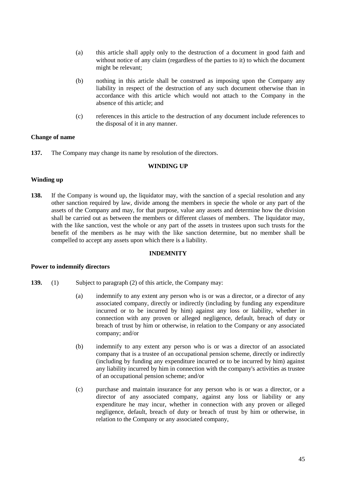- (a) this article shall apply only to the destruction of a document in good faith and without notice of any claim (regardless of the parties to it) to which the document might be relevant;
- (b) nothing in this article shall be construed as imposing upon the Company any liability in respect of the destruction of any such document otherwise than in accordance with this article which would not attach to the Company in the absence of this article; and
- (c) references in this article to the destruction of any document include references to the disposal of it in any manner.

## **Change of name**

**137.** The Company may change its name by resolution of the directors.

#### **WINDING UP**

#### **Winding up**

**138.** If the Company is wound up, the liquidator may, with the sanction of a special resolution and any other sanction required by law, divide among the members in specie the whole or any part of the assets of the Company and may, for that purpose, value any assets and determine how the division shall be carried out as between the members or different classes of members. The liquidator may, with the like sanction, vest the whole or any part of the assets in trustees upon such trusts for the benefit of the members as he may with the like sanction determine, but no member shall be compelled to accept any assets upon which there is a liability.

#### **INDEMNITY**

#### **Power to indemnify directors**

- **139.** (1) Subject to paragraph (2) of this article, the Company may:
	- (a) indemnify to any extent any person who is or was a director, or a director of any associated company, directly or indirectly (including by funding any expenditure incurred or to be incurred by him) against any loss or liability, whether in connection with any proven or alleged negligence, default, breach of duty or breach of trust by him or otherwise, in relation to the Company or any associated company; and/or
	- (b) indemnify to any extent any person who is or was a director of an associated company that is a trustee of an occupational pension scheme, directly or indirectly (including by funding any expenditure incurred or to be incurred by him) against any liability incurred by him in connection with the company's activities as trustee of an occupational pension scheme; and/or
	- (c) purchase and maintain insurance for any person who is or was a director, or a director of any associated company, against any loss or liability or any expenditure he may incur, whether in connection with any proven or alleged negligence, default, breach of duty or breach of trust by him or otherwise, in relation to the Company or any associated company,